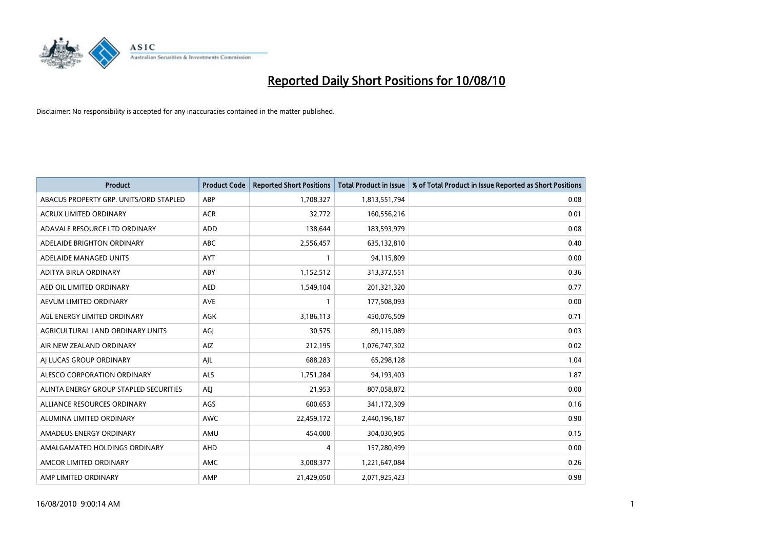

| <b>Product</b>                         | <b>Product Code</b> | <b>Reported Short Positions</b> | Total Product in Issue | % of Total Product in Issue Reported as Short Positions |
|----------------------------------------|---------------------|---------------------------------|------------------------|---------------------------------------------------------|
| ABACUS PROPERTY GRP. UNITS/ORD STAPLED | ABP                 | 1,708,327                       | 1,813,551,794          | 0.08                                                    |
| ACRUX LIMITED ORDINARY                 | <b>ACR</b>          | 32,772                          | 160,556,216            | 0.01                                                    |
| ADAVALE RESOURCE LTD ORDINARY          | <b>ADD</b>          | 138,644                         | 183,593,979            | 0.08                                                    |
| ADELAIDE BRIGHTON ORDINARY             | <b>ABC</b>          | 2,556,457                       | 635,132,810            | 0.40                                                    |
| ADELAIDE MANAGED UNITS                 | <b>AYT</b>          |                                 | 94,115,809             | 0.00                                                    |
| ADITYA BIRLA ORDINARY                  | ABY                 | 1,152,512                       | 313,372,551            | 0.36                                                    |
| AED OIL LIMITED ORDINARY               | <b>AED</b>          | 1,549,104                       | 201,321,320            | 0.77                                                    |
| AEVUM LIMITED ORDINARY                 | <b>AVE</b>          |                                 | 177,508,093            | 0.00                                                    |
| AGL ENERGY LIMITED ORDINARY            | <b>AGK</b>          | 3,186,113                       | 450,076,509            | 0.71                                                    |
| AGRICULTURAL LAND ORDINARY UNITS       | AGI                 | 30,575                          | 89,115,089             | 0.03                                                    |
| AIR NEW ZEALAND ORDINARY               | AIZ                 | 212,195                         | 1,076,747,302          | 0.02                                                    |
| AI LUCAS GROUP ORDINARY                | AJL                 | 688,283                         | 65,298,128             | 1.04                                                    |
| ALESCO CORPORATION ORDINARY            | <b>ALS</b>          | 1,751,284                       | 94,193,403             | 1.87                                                    |
| ALINTA ENERGY GROUP STAPLED SECURITIES | <b>AEJ</b>          | 21,953                          | 807,058,872            | 0.00                                                    |
| ALLIANCE RESOURCES ORDINARY            | AGS                 | 600,653                         | 341,172,309            | 0.16                                                    |
| ALUMINA LIMITED ORDINARY               | <b>AWC</b>          | 22,459,172                      | 2,440,196,187          | 0.90                                                    |
| AMADEUS ENERGY ORDINARY                | AMU                 | 454,000                         | 304,030,905            | 0.15                                                    |
| AMALGAMATED HOLDINGS ORDINARY          | AHD                 | 4                               | 157,280,499            | 0.00                                                    |
| AMCOR LIMITED ORDINARY                 | <b>AMC</b>          | 3,008,377                       | 1,221,647,084          | 0.26                                                    |
| AMP LIMITED ORDINARY                   | AMP                 | 21,429,050                      | 2,071,925,423          | 0.98                                                    |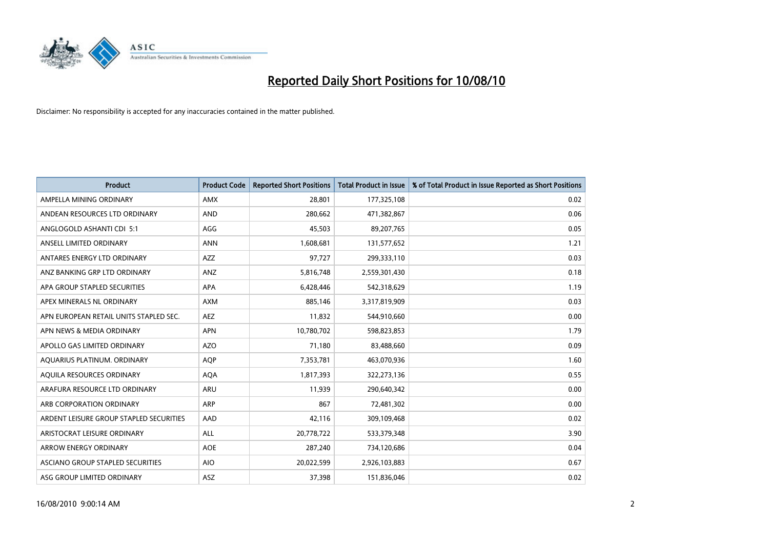

| <b>Product</b>                          | <b>Product Code</b> | <b>Reported Short Positions</b> | <b>Total Product in Issue</b> | % of Total Product in Issue Reported as Short Positions |
|-----------------------------------------|---------------------|---------------------------------|-------------------------------|---------------------------------------------------------|
| AMPELLA MINING ORDINARY                 | <b>AMX</b>          | 28,801                          | 177,325,108                   | 0.02                                                    |
| ANDEAN RESOURCES LTD ORDINARY           | <b>AND</b>          | 280,662                         | 471,382,867                   | 0.06                                                    |
| ANGLOGOLD ASHANTI CDI 5:1               | AGG                 | 45,503                          | 89,207,765                    | 0.05                                                    |
| ANSELL LIMITED ORDINARY                 | <b>ANN</b>          | 1,608,681                       | 131,577,652                   | 1.21                                                    |
| ANTARES ENERGY LTD ORDINARY             | <b>AZZ</b>          | 97,727                          | 299,333,110                   | 0.03                                                    |
| ANZ BANKING GRP LTD ORDINARY            | ANZ                 | 5,816,748                       | 2,559,301,430                 | 0.18                                                    |
| APA GROUP STAPLED SECURITIES            | <b>APA</b>          | 6,428,446                       | 542,318,629                   | 1.19                                                    |
| APEX MINERALS NL ORDINARY               | <b>AXM</b>          | 885,146                         | 3,317,819,909                 | 0.03                                                    |
| APN EUROPEAN RETAIL UNITS STAPLED SEC.  | <b>AEZ</b>          | 11,832                          | 544,910,660                   | 0.00                                                    |
| APN NEWS & MEDIA ORDINARY               | <b>APN</b>          | 10,780,702                      | 598,823,853                   | 1.79                                                    |
| APOLLO GAS LIMITED ORDINARY             | <b>AZO</b>          | 71,180                          | 83,488,660                    | 0.09                                                    |
| AQUARIUS PLATINUM. ORDINARY             | <b>AOP</b>          | 7,353,781                       | 463,070,936                   | 1.60                                                    |
| AQUILA RESOURCES ORDINARY               | <b>AQA</b>          | 1,817,393                       | 322,273,136                   | 0.55                                                    |
| ARAFURA RESOURCE LTD ORDINARY           | <b>ARU</b>          | 11,939                          | 290,640,342                   | 0.00                                                    |
| ARB CORPORATION ORDINARY                | <b>ARP</b>          | 867                             | 72,481,302                    | 0.00                                                    |
| ARDENT LEISURE GROUP STAPLED SECURITIES | AAD                 | 42,116                          | 309,109,468                   | 0.02                                                    |
| ARISTOCRAT LEISURE ORDINARY             | <b>ALL</b>          | 20,778,722                      | 533,379,348                   | 3.90                                                    |
| ARROW ENERGY ORDINARY                   | <b>AOE</b>          | 287,240                         | 734,120,686                   | 0.04                                                    |
| ASCIANO GROUP STAPLED SECURITIES        | <b>AIO</b>          | 20,022,599                      | 2,926,103,883                 | 0.67                                                    |
| ASG GROUP LIMITED ORDINARY              | <b>ASZ</b>          | 37,398                          | 151,836,046                   | 0.02                                                    |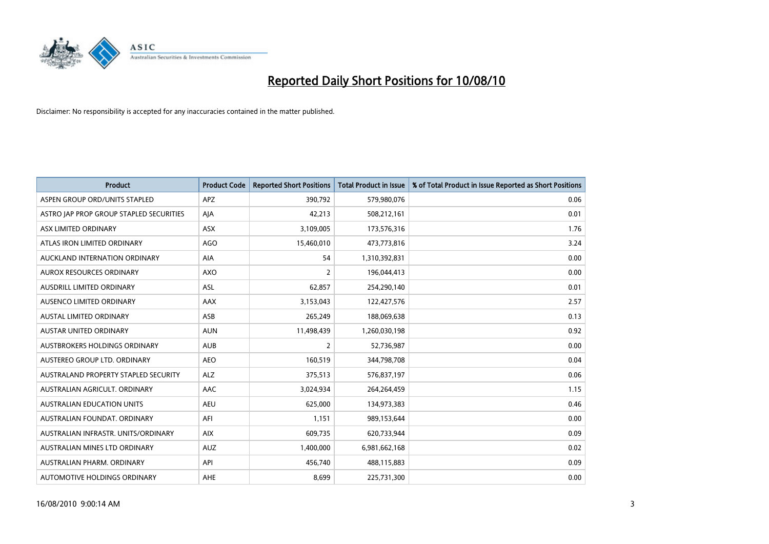

| <b>Product</b>                          | <b>Product Code</b> | <b>Reported Short Positions</b> | Total Product in Issue | % of Total Product in Issue Reported as Short Positions |
|-----------------------------------------|---------------------|---------------------------------|------------------------|---------------------------------------------------------|
| ASPEN GROUP ORD/UNITS STAPLED           | <b>APZ</b>          | 390,792                         | 579,980,076            | 0.06                                                    |
| ASTRO JAP PROP GROUP STAPLED SECURITIES | AIA                 | 42,213                          | 508,212,161            | 0.01                                                    |
| ASX LIMITED ORDINARY                    | <b>ASX</b>          | 3,109,005                       | 173,576,316            | 1.76                                                    |
| ATLAS IRON LIMITED ORDINARY             | <b>AGO</b>          | 15,460,010                      | 473,773,816            | 3.24                                                    |
| AUCKLAND INTERNATION ORDINARY           | AIA                 | 54                              | 1,310,392,831          | 0.00                                                    |
| AUROX RESOURCES ORDINARY                | AXO                 | $\overline{2}$                  | 196,044,413            | 0.00                                                    |
| <b>AUSDRILL LIMITED ORDINARY</b>        | <b>ASL</b>          | 62,857                          | 254,290,140            | 0.01                                                    |
| AUSENCO LIMITED ORDINARY                | AAX                 | 3,153,043                       | 122,427,576            | 2.57                                                    |
| AUSTAL LIMITED ORDINARY                 | ASB                 | 265,249                         | 188,069,638            | 0.13                                                    |
| <b>AUSTAR UNITED ORDINARY</b>           | <b>AUN</b>          | 11,498,439                      | 1,260,030,198          | 0.92                                                    |
| AUSTBROKERS HOLDINGS ORDINARY           | <b>AUB</b>          | 2                               | 52,736,987             | 0.00                                                    |
| AUSTEREO GROUP LTD. ORDINARY            | <b>AEO</b>          | 160,519                         | 344,798,708            | 0.04                                                    |
| AUSTRALAND PROPERTY STAPLED SECURITY    | <b>ALZ</b>          | 375,513                         | 576,837,197            | 0.06                                                    |
| AUSTRALIAN AGRICULT, ORDINARY           | AAC                 | 3,024,934                       | 264,264,459            | 1.15                                                    |
| <b>AUSTRALIAN EDUCATION UNITS</b>       | <b>AEU</b>          | 625,000                         | 134,973,383            | 0.46                                                    |
| AUSTRALIAN FOUNDAT. ORDINARY            | AFI                 | 1,151                           | 989,153,644            | 0.00                                                    |
| AUSTRALIAN INFRASTR, UNITS/ORDINARY     | <b>AIX</b>          | 609,735                         | 620,733,944            | 0.09                                                    |
| AUSTRALIAN MINES LTD ORDINARY           | <b>AUZ</b>          | 1,400,000                       | 6,981,662,168          | 0.02                                                    |
| AUSTRALIAN PHARM, ORDINARY              | API                 | 456,740                         | 488,115,883            | 0.09                                                    |
| AUTOMOTIVE HOLDINGS ORDINARY            | AHE                 | 8.699                           | 225,731,300            | 0.00                                                    |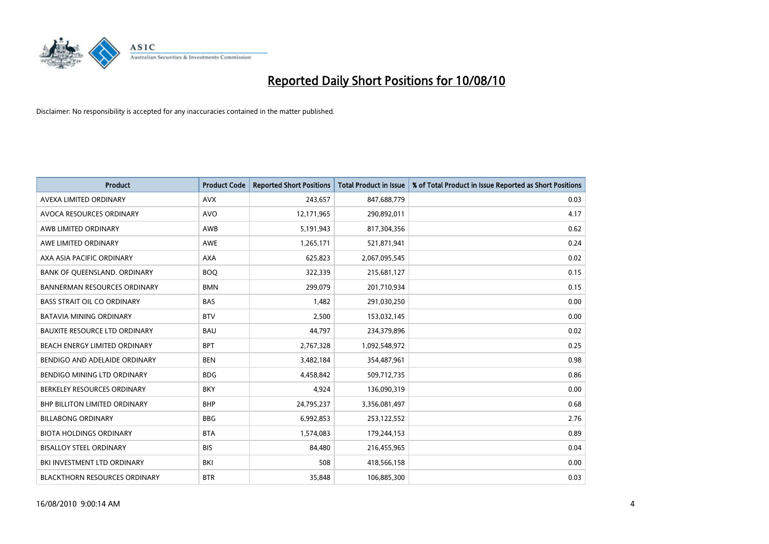

| <b>Product</b>                       | <b>Product Code</b> | <b>Reported Short Positions</b> | <b>Total Product in Issue</b> | % of Total Product in Issue Reported as Short Positions |
|--------------------------------------|---------------------|---------------------------------|-------------------------------|---------------------------------------------------------|
| AVEXA LIMITED ORDINARY               | <b>AVX</b>          | 243,657                         | 847,688,779                   | 0.03                                                    |
| AVOCA RESOURCES ORDINARY             | <b>AVO</b>          | 12,171,965                      | 290,892,011                   | 4.17                                                    |
| AWB LIMITED ORDINARY                 | AWB                 | 5,191,943                       | 817,304,356                   | 0.62                                                    |
| AWE LIMITED ORDINARY                 | <b>AWE</b>          | 1,265,171                       | 521,871,941                   | 0.24                                                    |
| AXA ASIA PACIFIC ORDINARY            | <b>AXA</b>          | 625,823                         | 2,067,095,545                 | 0.02                                                    |
| BANK OF QUEENSLAND. ORDINARY         | <b>BOQ</b>          | 322,339                         | 215,681,127                   | 0.15                                                    |
| <b>BANNERMAN RESOURCES ORDINARY</b>  | <b>BMN</b>          | 299.079                         | 201,710,934                   | 0.15                                                    |
| <b>BASS STRAIT OIL CO ORDINARY</b>   | <b>BAS</b>          | 1,482                           | 291,030,250                   | 0.00                                                    |
| <b>BATAVIA MINING ORDINARY</b>       | <b>BTV</b>          | 2,500                           | 153,032,145                   | 0.00                                                    |
| <b>BAUXITE RESOURCE LTD ORDINARY</b> | <b>BAU</b>          | 44,797                          | 234,379,896                   | 0.02                                                    |
| BEACH ENERGY LIMITED ORDINARY        | <b>BPT</b>          | 2,767,328                       | 1,092,548,972                 | 0.25                                                    |
| BENDIGO AND ADELAIDE ORDINARY        | <b>BEN</b>          | 3,482,184                       | 354,487,961                   | 0.98                                                    |
| BENDIGO MINING LTD ORDINARY          | <b>BDG</b>          | 4,458,842                       | 509,712,735                   | 0.86                                                    |
| BERKELEY RESOURCES ORDINARY          | <b>BKY</b>          | 4,924                           | 136,090,319                   | 0.00                                                    |
| <b>BHP BILLITON LIMITED ORDINARY</b> | <b>BHP</b>          | 24,795,237                      | 3,356,081,497                 | 0.68                                                    |
| <b>BILLABONG ORDINARY</b>            | <b>BBG</b>          | 6,992,853                       | 253,122,552                   | 2.76                                                    |
| <b>BIOTA HOLDINGS ORDINARY</b>       | <b>BTA</b>          | 1,574,083                       | 179,244,153                   | 0.89                                                    |
| <b>BISALLOY STEEL ORDINARY</b>       | <b>BIS</b>          | 84,480                          | 216,455,965                   | 0.04                                                    |
| BKI INVESTMENT LTD ORDINARY          | <b>BKI</b>          | 508                             | 418,566,158                   | 0.00                                                    |
| <b>BLACKTHORN RESOURCES ORDINARY</b> | <b>BTR</b>          | 35,848                          | 106,885,300                   | 0.03                                                    |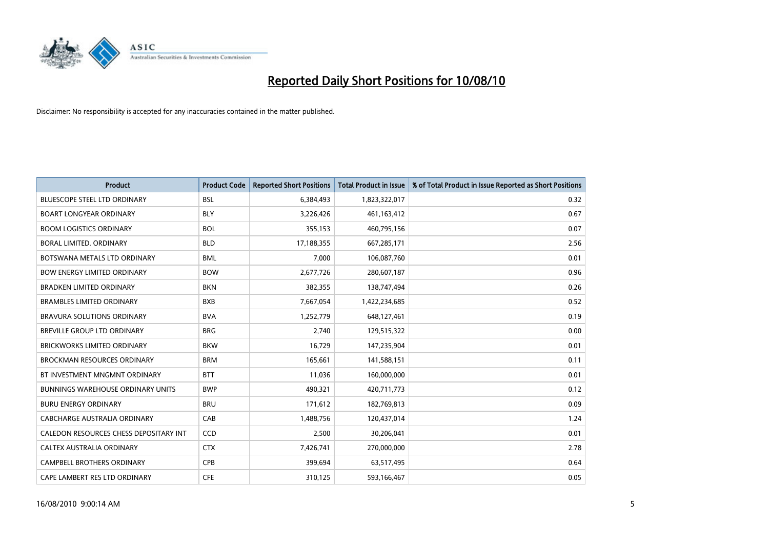

| <b>Product</b>                           | <b>Product Code</b> | <b>Reported Short Positions</b> | <b>Total Product in Issue</b> | % of Total Product in Issue Reported as Short Positions |
|------------------------------------------|---------------------|---------------------------------|-------------------------------|---------------------------------------------------------|
| <b>BLUESCOPE STEEL LTD ORDINARY</b>      | <b>BSL</b>          | 6,384,493                       | 1,823,322,017                 | 0.32                                                    |
| <b>BOART LONGYEAR ORDINARY</b>           | <b>BLY</b>          | 3,226,426                       | 461, 163, 412                 | 0.67                                                    |
| <b>BOOM LOGISTICS ORDINARY</b>           | <b>BOL</b>          | 355,153                         | 460,795,156                   | 0.07                                                    |
| BORAL LIMITED. ORDINARY                  | <b>BLD</b>          | 17,188,355                      | 667,285,171                   | 2.56                                                    |
| BOTSWANA METALS LTD ORDINARY             | <b>BML</b>          | 7,000                           | 106,087,760                   | 0.01                                                    |
| <b>BOW ENERGY LIMITED ORDINARY</b>       | <b>BOW</b>          | 2,677,726                       | 280,607,187                   | 0.96                                                    |
| <b>BRADKEN LIMITED ORDINARY</b>          | <b>BKN</b>          | 382,355                         | 138,747,494                   | 0.26                                                    |
| <b>BRAMBLES LIMITED ORDINARY</b>         | <b>BXB</b>          | 7,667,054                       | 1,422,234,685                 | 0.52                                                    |
| <b>BRAVURA SOLUTIONS ORDINARY</b>        | <b>BVA</b>          | 1,252,779                       | 648,127,461                   | 0.19                                                    |
| <b>BREVILLE GROUP LTD ORDINARY</b>       | <b>BRG</b>          | 2,740                           | 129,515,322                   | 0.00                                                    |
| <b>BRICKWORKS LIMITED ORDINARY</b>       | <b>BKW</b>          | 16,729                          | 147,235,904                   | 0.01                                                    |
| <b>BROCKMAN RESOURCES ORDINARY</b>       | <b>BRM</b>          | 165,661                         | 141,588,151                   | 0.11                                                    |
| BT INVESTMENT MNGMNT ORDINARY            | <b>BTT</b>          | 11,036                          | 160,000,000                   | 0.01                                                    |
| <b>BUNNINGS WAREHOUSE ORDINARY UNITS</b> | <b>BWP</b>          | 490,321                         | 420,711,773                   | 0.12                                                    |
| <b>BURU ENERGY ORDINARY</b>              | <b>BRU</b>          | 171,612                         | 182,769,813                   | 0.09                                                    |
| CABCHARGE AUSTRALIA ORDINARY             | CAB                 | 1,488,756                       | 120,437,014                   | 1.24                                                    |
| CALEDON RESOURCES CHESS DEPOSITARY INT   | CCD                 | 2,500                           | 30,206,041                    | 0.01                                                    |
| CALTEX AUSTRALIA ORDINARY                | <b>CTX</b>          | 7,426,741                       | 270,000,000                   | 2.78                                                    |
| CAMPBELL BROTHERS ORDINARY               | <b>CPB</b>          | 399,694                         | 63,517,495                    | 0.64                                                    |
| CAPE LAMBERT RES LTD ORDINARY            | <b>CFE</b>          | 310,125                         | 593,166,467                   | 0.05                                                    |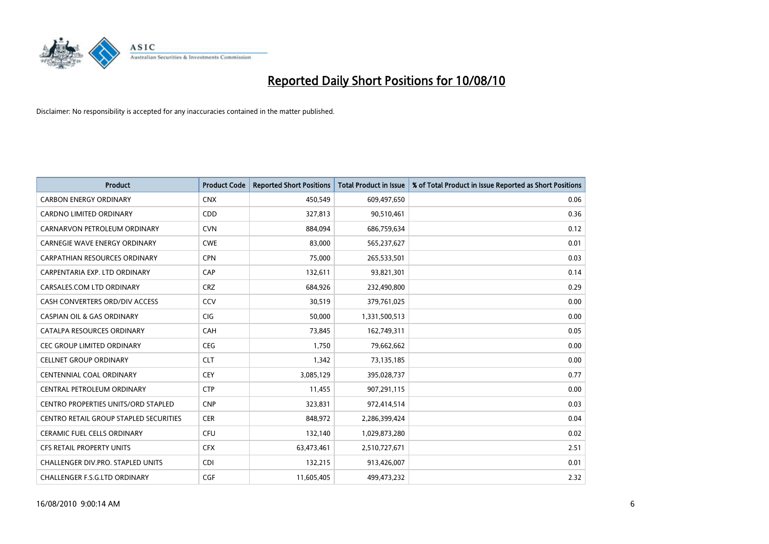

| <b>Product</b>                             | <b>Product Code</b> | <b>Reported Short Positions</b> | Total Product in Issue | % of Total Product in Issue Reported as Short Positions |
|--------------------------------------------|---------------------|---------------------------------|------------------------|---------------------------------------------------------|
| <b>CARBON ENERGY ORDINARY</b>              | <b>CNX</b>          | 450,549                         | 609,497,650            | 0.06                                                    |
| CARDNO LIMITED ORDINARY                    | CDD                 | 327,813                         | 90,510,461             | 0.36                                                    |
| CARNARVON PETROLEUM ORDINARY               | <b>CVN</b>          | 884.094                         | 686,759,634            | 0.12                                                    |
| CARNEGIE WAVE ENERGY ORDINARY              | <b>CWE</b>          | 83,000                          | 565,237,627            | 0.01                                                    |
| <b>CARPATHIAN RESOURCES ORDINARY</b>       | <b>CPN</b>          | 75,000                          | 265,533,501            | 0.03                                                    |
| CARPENTARIA EXP. LTD ORDINARY              | CAP                 | 132,611                         | 93,821,301             | 0.14                                                    |
| CARSALES.COM LTD ORDINARY                  | <b>CRZ</b>          | 684,926                         | 232,490,800            | 0.29                                                    |
| CASH CONVERTERS ORD/DIV ACCESS             | CCV                 | 30,519                          | 379,761,025            | 0.00                                                    |
| <b>CASPIAN OIL &amp; GAS ORDINARY</b>      | CIG                 | 50,000                          | 1,331,500,513          | 0.00                                                    |
| CATALPA RESOURCES ORDINARY                 | CAH                 | 73,845                          | 162,749,311            | 0.05                                                    |
| <b>CEC GROUP LIMITED ORDINARY</b>          | <b>CEG</b>          | 1,750                           | 79,662,662             | 0.00                                                    |
| <b>CELLNET GROUP ORDINARY</b>              | <b>CLT</b>          | 1,342                           | 73,135,185             | 0.00                                                    |
| CENTENNIAL COAL ORDINARY                   | CEY                 | 3,085,129                       | 395,028,737            | 0.77                                                    |
| CENTRAL PETROLEUM ORDINARY                 | <b>CTP</b>          | 11,455                          | 907,291,115            | 0.00                                                    |
| <b>CENTRO PROPERTIES UNITS/ORD STAPLED</b> | <b>CNP</b>          | 323,831                         | 972,414,514            | 0.03                                                    |
| CENTRO RETAIL GROUP STAPLED SECURITIES     | <b>CER</b>          | 848,972                         | 2,286,399,424          | 0.04                                                    |
| <b>CERAMIC FUEL CELLS ORDINARY</b>         | <b>CFU</b>          | 132,140                         | 1,029,873,280          | 0.02                                                    |
| <b>CFS RETAIL PROPERTY UNITS</b>           | <b>CFX</b>          | 63,473,461                      | 2,510,727,671          | 2.51                                                    |
| <b>CHALLENGER DIV.PRO. STAPLED UNITS</b>   | <b>CDI</b>          | 132,215                         | 913,426,007            | 0.01                                                    |
| CHALLENGER F.S.G.LTD ORDINARY              | CGF                 | 11,605,405                      | 499.473.232            | 2.32                                                    |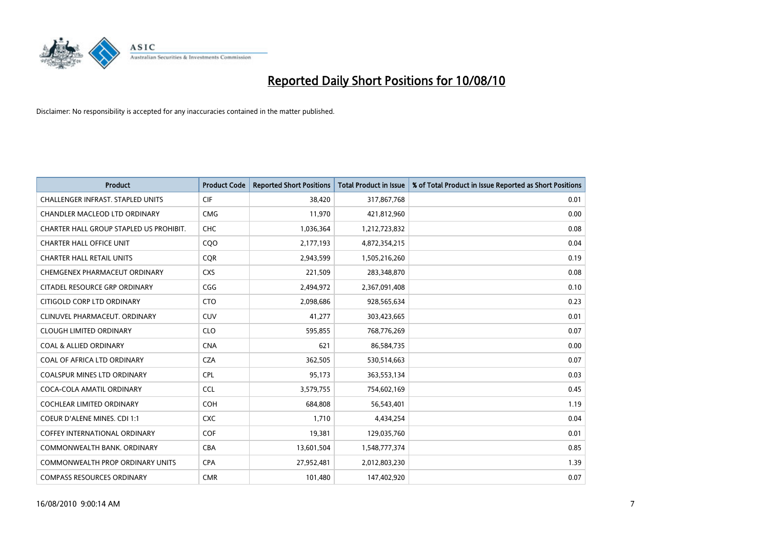

| <b>Product</b>                           | <b>Product Code</b> | <b>Reported Short Positions</b> | <b>Total Product in Issue</b> | % of Total Product in Issue Reported as Short Positions |
|------------------------------------------|---------------------|---------------------------------|-------------------------------|---------------------------------------------------------|
| <b>CHALLENGER INFRAST, STAPLED UNITS</b> | <b>CIF</b>          | 38,420                          | 317,867,768                   | 0.01                                                    |
| CHANDLER MACLEOD LTD ORDINARY            | <b>CMG</b>          | 11,970                          | 421,812,960                   | 0.00                                                    |
| CHARTER HALL GROUP STAPLED US PROHIBIT.  | <b>CHC</b>          | 1,036,364                       | 1,212,723,832                 | 0.08                                                    |
| <b>CHARTER HALL OFFICE UNIT</b>          | CQ <sub>O</sub>     | 2,177,193                       | 4,872,354,215                 | 0.04                                                    |
| <b>CHARTER HALL RETAIL UNITS</b>         | <b>COR</b>          | 2,943,599                       | 1,505,216,260                 | 0.19                                                    |
| CHEMGENEX PHARMACEUT ORDINARY            | <b>CXS</b>          | 221,509                         | 283,348,870                   | 0.08                                                    |
| CITADEL RESOURCE GRP ORDINARY            | CGG                 | 2,494,972                       | 2,367,091,408                 | 0.10                                                    |
| CITIGOLD CORP LTD ORDINARY               | <b>CTO</b>          | 2,098,686                       | 928,565,634                   | 0.23                                                    |
| CLINUVEL PHARMACEUT. ORDINARY            | <b>CUV</b>          | 41,277                          | 303,423,665                   | 0.01                                                    |
| <b>CLOUGH LIMITED ORDINARY</b>           | <b>CLO</b>          | 595,855                         | 768,776,269                   | 0.07                                                    |
| <b>COAL &amp; ALLIED ORDINARY</b>        | <b>CNA</b>          | 621                             | 86,584,735                    | 0.00                                                    |
| COAL OF AFRICA LTD ORDINARY              | <b>CZA</b>          | 362,505                         | 530,514,663                   | 0.07                                                    |
| <b>COALSPUR MINES LTD ORDINARY</b>       | <b>CPL</b>          | 95,173                          | 363,553,134                   | 0.03                                                    |
| COCA-COLA AMATIL ORDINARY                | CCL                 | 3,579,755                       | 754,602,169                   | 0.45                                                    |
| COCHLEAR LIMITED ORDINARY                | <b>COH</b>          | 684,808                         | 56,543,401                    | 1.19                                                    |
| <b>COEUR D'ALENE MINES. CDI 1:1</b>      | <b>CXC</b>          | 1,710                           | 4,434,254                     | 0.04                                                    |
| <b>COFFEY INTERNATIONAL ORDINARY</b>     | COF                 | 19,381                          | 129,035,760                   | 0.01                                                    |
| COMMONWEALTH BANK, ORDINARY              | <b>CBA</b>          | 13,601,504                      | 1,548,777,374                 | 0.85                                                    |
| <b>COMMONWEALTH PROP ORDINARY UNITS</b>  | <b>CPA</b>          | 27,952,481                      | 2,012,803,230                 | 1.39                                                    |
| <b>COMPASS RESOURCES ORDINARY</b>        | <b>CMR</b>          | 101.480                         | 147,402,920                   | 0.07                                                    |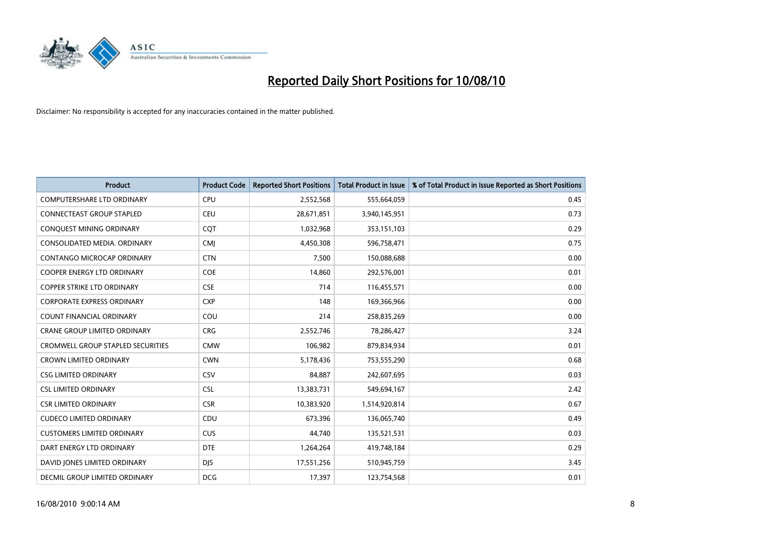

| <b>Product</b>                           | <b>Product Code</b> | <b>Reported Short Positions</b> | <b>Total Product in Issue</b> | % of Total Product in Issue Reported as Short Positions |
|------------------------------------------|---------------------|---------------------------------|-------------------------------|---------------------------------------------------------|
| <b>COMPUTERSHARE LTD ORDINARY</b>        | CPU                 | 2,552,568                       | 555,664,059                   | 0.45                                                    |
| CONNECTEAST GROUP STAPLED                | CEU                 | 28,671,851                      | 3,940,145,951                 | 0.73                                                    |
| CONQUEST MINING ORDINARY                 | CQT                 | 1,032,968                       | 353,151,103                   | 0.29                                                    |
| CONSOLIDATED MEDIA, ORDINARY             | <b>CMJ</b>          | 4,450,308                       | 596,758,471                   | 0.75                                                    |
| <b>CONTANGO MICROCAP ORDINARY</b>        | <b>CTN</b>          | 7,500                           | 150,088,688                   | 0.00                                                    |
| <b>COOPER ENERGY LTD ORDINARY</b>        | <b>COE</b>          | 14,860                          | 292,576,001                   | 0.01                                                    |
| <b>COPPER STRIKE LTD ORDINARY</b>        | <b>CSE</b>          | 714                             | 116,455,571                   | 0.00                                                    |
| <b>CORPORATE EXPRESS ORDINARY</b>        | <b>CXP</b>          | 148                             | 169,366,966                   | 0.00                                                    |
| COUNT FINANCIAL ORDINARY                 | COU                 | 214                             | 258,835,269                   | 0.00                                                    |
| <b>CRANE GROUP LIMITED ORDINARY</b>      | <b>CRG</b>          | 2,552,746                       | 78,286,427                    | 3.24                                                    |
| <b>CROMWELL GROUP STAPLED SECURITIES</b> | <b>CMW</b>          | 106,982                         | 879,834,934                   | 0.01                                                    |
| <b>CROWN LIMITED ORDINARY</b>            | <b>CWN</b>          | 5,178,436                       | 753,555,290                   | 0.68                                                    |
| <b>CSG LIMITED ORDINARY</b>              | CSV                 | 84,887                          | 242,607,695                   | 0.03                                                    |
| <b>CSL LIMITED ORDINARY</b>              | <b>CSL</b>          | 13,383,731                      | 549,694,167                   | 2.42                                                    |
| <b>CSR LIMITED ORDINARY</b>              | <b>CSR</b>          | 10,383,920                      | 1,514,920,814                 | 0.67                                                    |
| <b>CUDECO LIMITED ORDINARY</b>           | CDU                 | 673.396                         | 136,065,740                   | 0.49                                                    |
| <b>CUSTOMERS LIMITED ORDINARY</b>        | <b>CUS</b>          | 44,740                          | 135,521,531                   | 0.03                                                    |
| DART ENERGY LTD ORDINARY                 | <b>DTE</b>          | 1,264,264                       | 419,748,184                   | 0.29                                                    |
| DAVID JONES LIMITED ORDINARY             | <b>DIS</b>          | 17,551,256                      | 510,945,759                   | 3.45                                                    |
| DECMIL GROUP LIMITED ORDINARY            | <b>DCG</b>          | 17,397                          | 123,754,568                   | 0.01                                                    |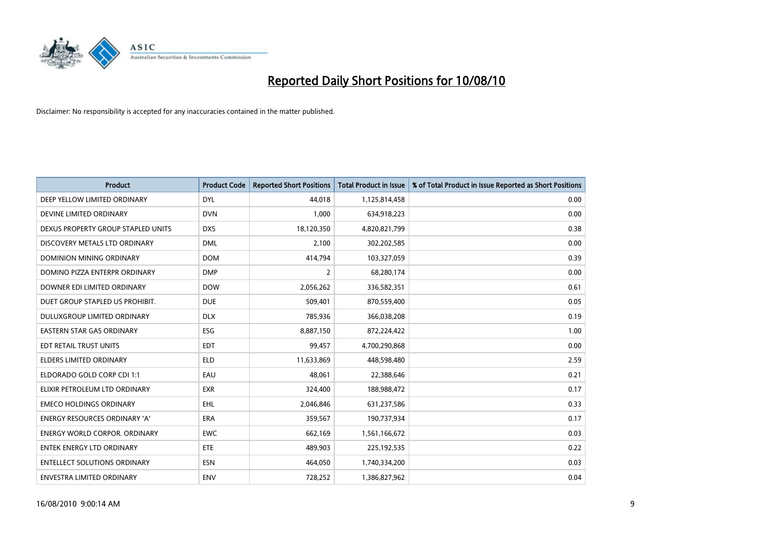

| <b>Product</b>                       | <b>Product Code</b> | <b>Reported Short Positions</b> | <b>Total Product in Issue</b> | % of Total Product in Issue Reported as Short Positions |
|--------------------------------------|---------------------|---------------------------------|-------------------------------|---------------------------------------------------------|
| DEEP YELLOW LIMITED ORDINARY         | <b>DYL</b>          | 44.018                          | 1,125,814,458                 | 0.00                                                    |
| DEVINE LIMITED ORDINARY              | <b>DVN</b>          | 1,000                           | 634,918,223                   | 0.00                                                    |
| DEXUS PROPERTY GROUP STAPLED UNITS   | <b>DXS</b>          | 18,120,350                      | 4,820,821,799                 | 0.38                                                    |
| DISCOVERY METALS LTD ORDINARY        | <b>DML</b>          | 2,100                           | 302,202,585                   | 0.00                                                    |
| DOMINION MINING ORDINARY             | <b>DOM</b>          | 414,794                         | 103,327,059                   | 0.39                                                    |
| DOMINO PIZZA ENTERPR ORDINARY        | <b>DMP</b>          | $\overline{2}$                  | 68,280,174                    | 0.00                                                    |
| DOWNER EDI LIMITED ORDINARY          | <b>DOW</b>          | 2,056,262                       | 336,582,351                   | 0.61                                                    |
| DUET GROUP STAPLED US PROHIBIT.      | <b>DUE</b>          | 509,401                         | 870,559,400                   | 0.05                                                    |
| DULUXGROUP LIMITED ORDINARY          | <b>DLX</b>          | 785,936                         | 366,038,208                   | 0.19                                                    |
| EASTERN STAR GAS ORDINARY            | <b>ESG</b>          | 8,887,150                       | 872,224,422                   | 1.00                                                    |
| EDT RETAIL TRUST UNITS               | <b>EDT</b>          | 99,457                          | 4,700,290,868                 | 0.00                                                    |
| ELDERS LIMITED ORDINARY              | ELD                 | 11,633,869                      | 448,598,480                   | 2.59                                                    |
| ELDORADO GOLD CORP CDI 1:1           | EAU                 | 48.061                          | 22,388,646                    | 0.21                                                    |
| ELIXIR PETROLEUM LTD ORDINARY        | <b>EXR</b>          | 324,400                         | 188,988,472                   | 0.17                                                    |
| <b>EMECO HOLDINGS ORDINARY</b>       | EHL                 | 2,046,846                       | 631,237,586                   | 0.33                                                    |
| <b>ENERGY RESOURCES ORDINARY 'A'</b> | ERA                 | 359,567                         | 190,737,934                   | 0.17                                                    |
| <b>ENERGY WORLD CORPOR. ORDINARY</b> | <b>EWC</b>          | 662,169                         | 1,561,166,672                 | 0.03                                                    |
| <b>ENTEK ENERGY LTD ORDINARY</b>     | <b>ETE</b>          | 489,903                         | 225, 192, 535                 | 0.22                                                    |
| <b>ENTELLECT SOLUTIONS ORDINARY</b>  | <b>ESN</b>          | 464.050                         | 1,740,334,200                 | 0.03                                                    |
| <b>ENVESTRA LIMITED ORDINARY</b>     | <b>ENV</b>          | 728.252                         | 1,386,827,962                 | 0.04                                                    |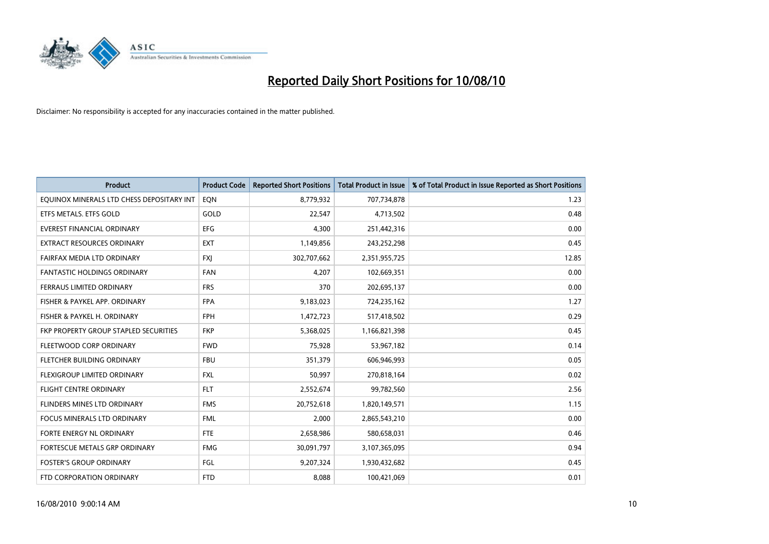

| <b>Product</b>                            | <b>Product Code</b> | <b>Reported Short Positions</b> | <b>Total Product in Issue</b> | % of Total Product in Issue Reported as Short Positions |
|-------------------------------------------|---------------------|---------------------------------|-------------------------------|---------------------------------------------------------|
| EQUINOX MINERALS LTD CHESS DEPOSITARY INT | EON                 | 8,779,932                       | 707,734,878                   | 1.23                                                    |
| ETFS METALS. ETFS GOLD                    | GOLD                | 22,547                          | 4,713,502                     | 0.48                                                    |
| <b>EVEREST FINANCIAL ORDINARY</b>         | <b>EFG</b>          | 4,300                           | 251,442,316                   | 0.00                                                    |
| EXTRACT RESOURCES ORDINARY                | <b>EXT</b>          | 1,149,856                       | 243,252,298                   | 0.45                                                    |
| FAIRFAX MEDIA LTD ORDINARY                | <b>FXI</b>          | 302,707,662                     | 2,351,955,725                 | 12.85                                                   |
| <b>FANTASTIC HOLDINGS ORDINARY</b>        | <b>FAN</b>          | 4,207                           | 102,669,351                   | 0.00                                                    |
| FERRAUS LIMITED ORDINARY                  | <b>FRS</b>          | 370                             | 202,695,137                   | 0.00                                                    |
| FISHER & PAYKEL APP. ORDINARY             | <b>FPA</b>          | 9,183,023                       | 724,235,162                   | 1.27                                                    |
| FISHER & PAYKEL H. ORDINARY               | <b>FPH</b>          | 1,472,723                       | 517,418,502                   | 0.29                                                    |
| FKP PROPERTY GROUP STAPLED SECURITIES     | <b>FKP</b>          | 5,368,025                       | 1,166,821,398                 | 0.45                                                    |
| FLEETWOOD CORP ORDINARY                   | <b>FWD</b>          | 75,928                          | 53,967,182                    | 0.14                                                    |
| <b>FLETCHER BUILDING ORDINARY</b>         | <b>FBU</b>          | 351,379                         | 606,946,993                   | 0.05                                                    |
| FLEXIGROUP LIMITED ORDINARY               | <b>FXL</b>          | 50.997                          | 270,818,164                   | 0.02                                                    |
| FLIGHT CENTRE ORDINARY                    | <b>FLT</b>          | 2,552,674                       | 99,782,560                    | 2.56                                                    |
| FLINDERS MINES LTD ORDINARY               | <b>FMS</b>          | 20,752,618                      | 1,820,149,571                 | 1.15                                                    |
| <b>FOCUS MINERALS LTD ORDINARY</b>        | <b>FML</b>          | 2,000                           | 2,865,543,210                 | 0.00                                                    |
| FORTE ENERGY NL ORDINARY                  | <b>FTE</b>          | 2,658,986                       | 580,658,031                   | 0.46                                                    |
| FORTESCUE METALS GRP ORDINARY             | <b>FMG</b>          | 30,091,797                      | 3,107,365,095                 | 0.94                                                    |
| <b>FOSTER'S GROUP ORDINARY</b>            | FGL                 | 9,207,324                       | 1,930,432,682                 | 0.45                                                    |
| FTD CORPORATION ORDINARY                  | <b>FTD</b>          | 8.088                           | 100,421,069                   | 0.01                                                    |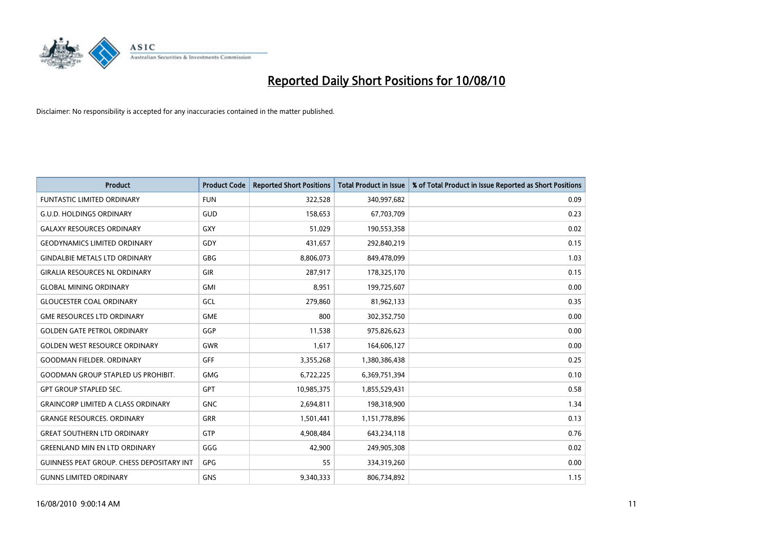

| <b>Product</b>                                   | <b>Product Code</b> | <b>Reported Short Positions</b> | <b>Total Product in Issue</b> | % of Total Product in Issue Reported as Short Positions |
|--------------------------------------------------|---------------------|---------------------------------|-------------------------------|---------------------------------------------------------|
| <b>FUNTASTIC LIMITED ORDINARY</b>                | <b>FUN</b>          | 322,528                         | 340,997,682                   | 0.09                                                    |
| <b>G.U.D. HOLDINGS ORDINARY</b>                  | GUD                 | 158,653                         | 67,703,709                    | 0.23                                                    |
| <b>GALAXY RESOURCES ORDINARY</b>                 | <b>GXY</b>          | 51,029                          | 190,553,358                   | 0.02                                                    |
| <b>GEODYNAMICS LIMITED ORDINARY</b>              | GDY                 | 431,657                         | 292,840,219                   | 0.15                                                    |
| <b>GINDALBIE METALS LTD ORDINARY</b>             | <b>GBG</b>          | 8,806,073                       | 849,478,099                   | 1.03                                                    |
| <b>GIRALIA RESOURCES NL ORDINARY</b>             | <b>GIR</b>          | 287,917                         | 178,325,170                   | 0.15                                                    |
| <b>GLOBAL MINING ORDINARY</b>                    | <b>GMI</b>          | 8.951                           | 199,725,607                   | 0.00                                                    |
| <b>GLOUCESTER COAL ORDINARY</b>                  | GCL                 | 279,860                         | 81,962,133                    | 0.35                                                    |
| <b>GME RESOURCES LTD ORDINARY</b>                | <b>GME</b>          | 800                             | 302,352,750                   | 0.00                                                    |
| <b>GOLDEN GATE PETROL ORDINARY</b>               | GGP                 | 11,538                          | 975,826,623                   | 0.00                                                    |
| <b>GOLDEN WEST RESOURCE ORDINARY</b>             | <b>GWR</b>          | 1,617                           | 164,606,127                   | 0.00                                                    |
| <b>GOODMAN FIELDER, ORDINARY</b>                 | <b>GFF</b>          | 3,355,268                       | 1,380,386,438                 | 0.25                                                    |
| <b>GOODMAN GROUP STAPLED US PROHIBIT.</b>        | <b>GMG</b>          | 6,722,225                       | 6,369,751,394                 | 0.10                                                    |
| <b>GPT GROUP STAPLED SEC.</b>                    | <b>GPT</b>          | 10,985,375                      | 1,855,529,431                 | 0.58                                                    |
| <b>GRAINCORP LIMITED A CLASS ORDINARY</b>        | <b>GNC</b>          | 2,694,811                       | 198,318,900                   | 1.34                                                    |
| <b>GRANGE RESOURCES. ORDINARY</b>                | GRR                 | 1,501,441                       | 1,151,778,896                 | 0.13                                                    |
| <b>GREAT SOUTHERN LTD ORDINARY</b>               | <b>GTP</b>          | 4,908,484                       | 643,234,118                   | 0.76                                                    |
| <b>GREENLAND MIN EN LTD ORDINARY</b>             | GGG                 | 42,900                          | 249,905,308                   | 0.02                                                    |
| <b>GUINNESS PEAT GROUP. CHESS DEPOSITARY INT</b> | <b>GPG</b>          | 55                              | 334,319,260                   | 0.00                                                    |
| <b>GUNNS LIMITED ORDINARY</b>                    | <b>GNS</b>          | 9,340,333                       | 806,734,892                   | 1.15                                                    |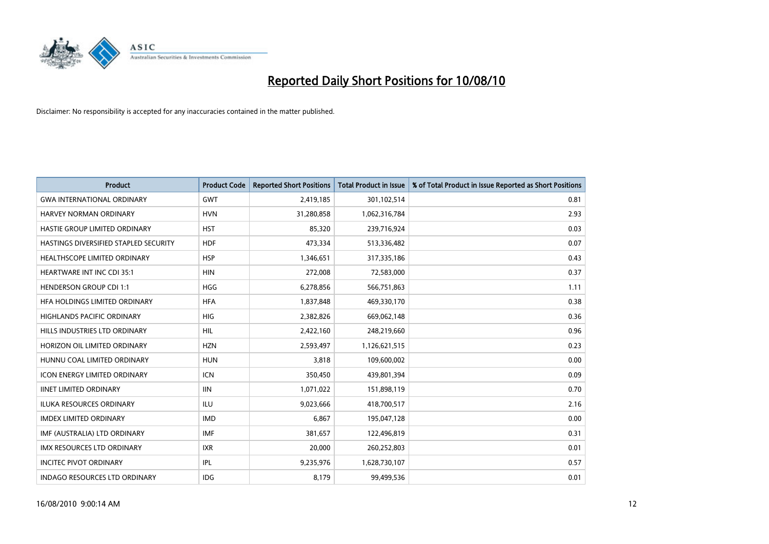

| <b>Product</b>                        | <b>Product Code</b> | <b>Reported Short Positions</b> | <b>Total Product in Issue</b> | % of Total Product in Issue Reported as Short Positions |
|---------------------------------------|---------------------|---------------------------------|-------------------------------|---------------------------------------------------------|
| <b>GWA INTERNATIONAL ORDINARY</b>     | <b>GWT</b>          | 2,419,185                       | 301,102,514                   | 0.81                                                    |
| <b>HARVEY NORMAN ORDINARY</b>         | <b>HVN</b>          | 31,280,858                      | 1,062,316,784                 | 2.93                                                    |
| HASTIE GROUP LIMITED ORDINARY         | <b>HST</b>          | 85,320                          | 239,716,924                   | 0.03                                                    |
| HASTINGS DIVERSIFIED STAPLED SECURITY | <b>HDF</b>          | 473,334                         | 513,336,482                   | 0.07                                                    |
| HEALTHSCOPE LIMITED ORDINARY          | <b>HSP</b>          | 1,346,651                       | 317,335,186                   | 0.43                                                    |
| <b>HEARTWARE INT INC CDI 35:1</b>     | <b>HIN</b>          | 272,008                         | 72,583,000                    | 0.37                                                    |
| <b>HENDERSON GROUP CDI 1:1</b>        | <b>HGG</b>          | 6,278,856                       | 566,751,863                   | 1.11                                                    |
| HFA HOLDINGS LIMITED ORDINARY         | <b>HFA</b>          | 1,837,848                       | 469,330,170                   | 0.38                                                    |
| HIGHLANDS PACIFIC ORDINARY            | <b>HIG</b>          | 2,382,826                       | 669,062,148                   | 0.36                                                    |
| HILLS INDUSTRIES LTD ORDINARY         | <b>HIL</b>          | 2,422,160                       | 248,219,660                   | 0.96                                                    |
| HORIZON OIL LIMITED ORDINARY          | <b>HZN</b>          | 2,593,497                       | 1,126,621,515                 | 0.23                                                    |
| HUNNU COAL LIMITED ORDINARY           | <b>HUN</b>          | 3,818                           | 109,600,002                   | 0.00                                                    |
| <b>ICON ENERGY LIMITED ORDINARY</b>   | <b>ICN</b>          | 350,450                         | 439,801,394                   | 0.09                                                    |
| <b>IINET LIMITED ORDINARY</b>         | <b>IIN</b>          | 1,071,022                       | 151,898,119                   | 0.70                                                    |
| ILUKA RESOURCES ORDINARY              | <b>ILU</b>          | 9,023,666                       | 418,700,517                   | 2.16                                                    |
| <b>IMDEX LIMITED ORDINARY</b>         | <b>IMD</b>          | 6,867                           | 195,047,128                   | 0.00                                                    |
| IMF (AUSTRALIA) LTD ORDINARY          | <b>IMF</b>          | 381,657                         | 122,496,819                   | 0.31                                                    |
| IMX RESOURCES LTD ORDINARY            | <b>IXR</b>          | 20,000                          | 260,252,803                   | 0.01                                                    |
| <b>INCITEC PIVOT ORDINARY</b>         | IPL                 | 9,235,976                       | 1,628,730,107                 | 0.57                                                    |
| <b>INDAGO RESOURCES LTD ORDINARY</b>  | <b>IDG</b>          | 8,179                           | 99,499,536                    | 0.01                                                    |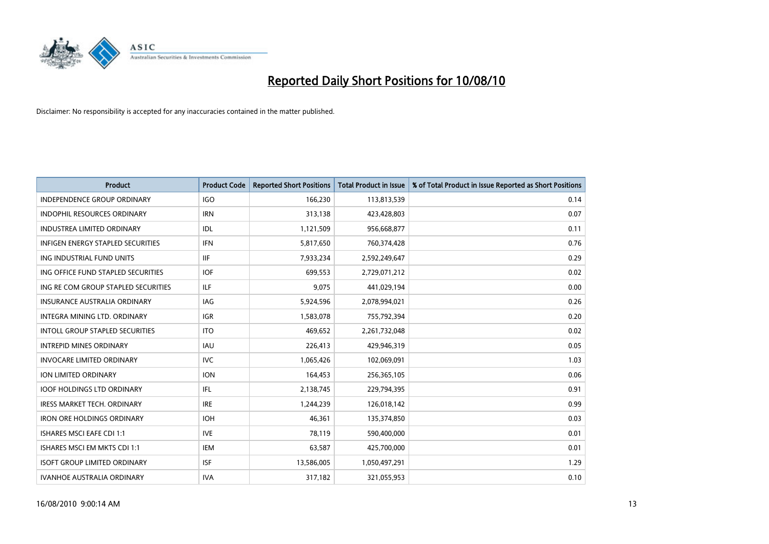

| <b>Product</b>                         | <b>Product Code</b> | <b>Reported Short Positions</b> | <b>Total Product in Issue</b> | % of Total Product in Issue Reported as Short Positions |
|----------------------------------------|---------------------|---------------------------------|-------------------------------|---------------------------------------------------------|
| <b>INDEPENDENCE GROUP ORDINARY</b>     | <b>IGO</b>          | 166,230                         | 113,813,539                   | 0.14                                                    |
| <b>INDOPHIL RESOURCES ORDINARY</b>     | <b>IRN</b>          | 313,138                         | 423,428,803                   | 0.07                                                    |
| <b>INDUSTREA LIMITED ORDINARY</b>      | IDL                 | 1,121,509                       | 956,668,877                   | 0.11                                                    |
| INFIGEN ENERGY STAPLED SECURITIES      | <b>IFN</b>          | 5,817,650                       | 760,374,428                   | 0.76                                                    |
| ING INDUSTRIAL FUND UNITS              | <b>IIF</b>          | 7,933,234                       | 2,592,249,647                 | 0.29                                                    |
| ING OFFICE FUND STAPLED SECURITIES     | <b>IOF</b>          | 699,553                         | 2,729,071,212                 | 0.02                                                    |
| ING RE COM GROUP STAPLED SECURITIES    | <b>ILF</b>          | 9.075                           | 441,029,194                   | 0.00                                                    |
| <b>INSURANCE AUSTRALIA ORDINARY</b>    | IAG                 | 5,924,596                       | 2,078,994,021                 | 0.26                                                    |
| INTEGRA MINING LTD. ORDINARY           | <b>IGR</b>          | 1,583,078                       | 755,792,394                   | 0.20                                                    |
| <b>INTOLL GROUP STAPLED SECURITIES</b> | <b>ITO</b>          | 469,652                         | 2,261,732,048                 | 0.02                                                    |
| <b>INTREPID MINES ORDINARY</b>         | <b>IAU</b>          | 226,413                         | 429,946,319                   | 0.05                                                    |
| <b>INVOCARE LIMITED ORDINARY</b>       | <b>IVC</b>          | 1,065,426                       | 102,069,091                   | 1.03                                                    |
| ION LIMITED ORDINARY                   | <b>ION</b>          | 164,453                         | 256,365,105                   | 0.06                                                    |
| <b>IOOF HOLDINGS LTD ORDINARY</b>      | <b>IFL</b>          | 2,138,745                       | 229,794,395                   | 0.91                                                    |
| <b>IRESS MARKET TECH. ORDINARY</b>     | <b>IRE</b>          | 1,244,239                       | 126,018,142                   | 0.99                                                    |
| <b>IRON ORE HOLDINGS ORDINARY</b>      | <b>IOH</b>          | 46,361                          | 135,374,850                   | 0.03                                                    |
| <b>ISHARES MSCI EAFE CDI 1:1</b>       | <b>IVE</b>          | 78,119                          | 590,400,000                   | 0.01                                                    |
| ISHARES MSCI EM MKTS CDI 1:1           | <b>IEM</b>          | 63,587                          | 425,700,000                   | 0.01                                                    |
| <b>ISOFT GROUP LIMITED ORDINARY</b>    | <b>ISF</b>          | 13,586,005                      | 1,050,497,291                 | 1.29                                                    |
| <b>IVANHOE AUSTRALIA ORDINARY</b>      | <b>IVA</b>          | 317.182                         | 321,055,953                   | 0.10                                                    |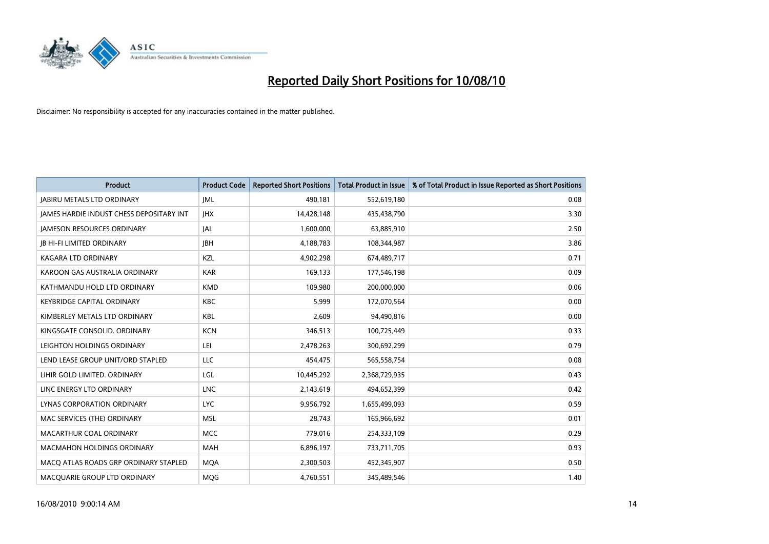

| <b>Product</b>                                  | <b>Product Code</b> | <b>Reported Short Positions</b> | <b>Total Product in Issue</b> | % of Total Product in Issue Reported as Short Positions |
|-------------------------------------------------|---------------------|---------------------------------|-------------------------------|---------------------------------------------------------|
| <b>JABIRU METALS LTD ORDINARY</b>               | <b>JML</b>          | 490,181                         | 552,619,180                   | 0.08                                                    |
| <b>IAMES HARDIE INDUST CHESS DEPOSITARY INT</b> | <b>IHX</b>          | 14,428,148                      | 435,438,790                   | 3.30                                                    |
| <b>JAMESON RESOURCES ORDINARY</b>               | <b>JAL</b>          | 1,600,000                       | 63,885,910                    | 2.50                                                    |
| <b>JB HI-FI LIMITED ORDINARY</b>                | <b>IBH</b>          | 4,188,783                       | 108,344,987                   | 3.86                                                    |
| <b>KAGARA LTD ORDINARY</b>                      | KZL                 | 4,902,298                       | 674,489,717                   | 0.71                                                    |
| KAROON GAS AUSTRALIA ORDINARY                   | <b>KAR</b>          | 169,133                         | 177,546,198                   | 0.09                                                    |
| KATHMANDU HOLD LTD ORDINARY                     | <b>KMD</b>          | 109.980                         | 200,000,000                   | 0.06                                                    |
| <b>KEYBRIDGE CAPITAL ORDINARY</b>               | <b>KBC</b>          | 5,999                           | 172,070,564                   | 0.00                                                    |
| KIMBERLEY METALS LTD ORDINARY                   | <b>KBL</b>          | 2,609                           | 94,490,816                    | 0.00                                                    |
| KINGSGATE CONSOLID, ORDINARY                    | <b>KCN</b>          | 346,513                         | 100,725,449                   | 0.33                                                    |
| LEIGHTON HOLDINGS ORDINARY                      | LEI                 | 2,478,263                       | 300,692,299                   | 0.79                                                    |
| LEND LEASE GROUP UNIT/ORD STAPLED               | LLC                 | 454,475                         | 565,558,754                   | 0.08                                                    |
| LIHIR GOLD LIMITED. ORDINARY                    | LGL                 | 10,445,292                      | 2,368,729,935                 | 0.43                                                    |
| LINC ENERGY LTD ORDINARY                        | <b>LNC</b>          | 2,143,619                       | 494,652,399                   | 0.42                                                    |
| LYNAS CORPORATION ORDINARY                      | <b>LYC</b>          | 9,956,792                       | 1,655,499,093                 | 0.59                                                    |
| MAC SERVICES (THE) ORDINARY                     | <b>MSL</b>          | 28,743                          | 165,966,692                   | 0.01                                                    |
| MACARTHUR COAL ORDINARY                         | <b>MCC</b>          | 779,016                         | 254,333,109                   | 0.29                                                    |
| MACMAHON HOLDINGS ORDINARY                      | <b>MAH</b>          | 6,896,197                       | 733,711,705                   | 0.93                                                    |
| MACO ATLAS ROADS GRP ORDINARY STAPLED           | <b>MOA</b>          | 2,300,503                       | 452,345,907                   | 0.50                                                    |
| MACQUARIE GROUP LTD ORDINARY                    | <b>MOG</b>          | 4,760,551                       | 345,489,546                   | 1.40                                                    |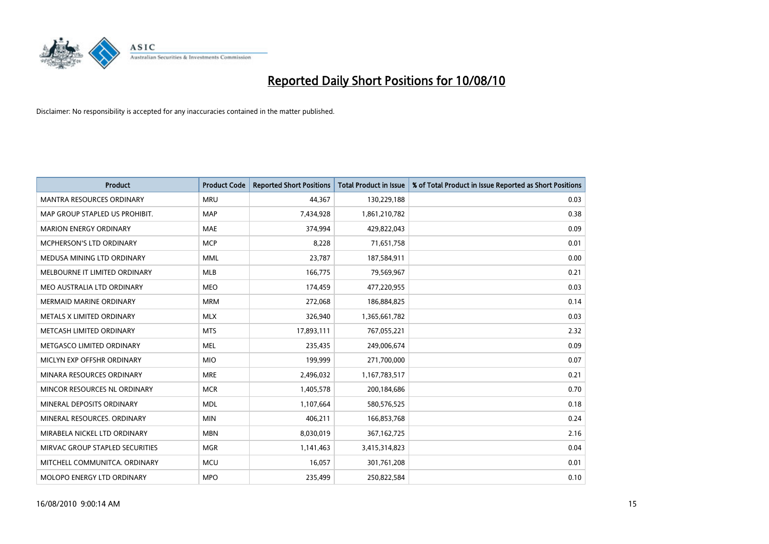

| <b>Product</b>                   | <b>Product Code</b> | <b>Reported Short Positions</b> | <b>Total Product in Issue</b> | % of Total Product in Issue Reported as Short Positions |
|----------------------------------|---------------------|---------------------------------|-------------------------------|---------------------------------------------------------|
| <b>MANTRA RESOURCES ORDINARY</b> | <b>MRU</b>          | 44,367                          | 130,229,188                   | 0.03                                                    |
| MAP GROUP STAPLED US PROHIBIT.   | <b>MAP</b>          | 7,434,928                       | 1,861,210,782                 | 0.38                                                    |
| <b>MARION ENERGY ORDINARY</b>    | <b>MAE</b>          | 374,994                         | 429,822,043                   | 0.09                                                    |
| MCPHERSON'S LTD ORDINARY         | <b>MCP</b>          | 8,228                           | 71,651,758                    | 0.01                                                    |
| MEDUSA MINING LTD ORDINARY       | <b>MML</b>          | 23,787                          | 187,584,911                   | 0.00                                                    |
| MELBOURNE IT LIMITED ORDINARY    | MLB                 | 166,775                         | 79,569,967                    | 0.21                                                    |
| MEO AUSTRALIA LTD ORDINARY       | <b>MEO</b>          | 174,459                         | 477,220,955                   | 0.03                                                    |
| MERMAID MARINE ORDINARY          | <b>MRM</b>          | 272,068                         | 186,884,825                   | 0.14                                                    |
| METALS X LIMITED ORDINARY        | <b>MLX</b>          | 326,940                         | 1,365,661,782                 | 0.03                                                    |
| METCASH LIMITED ORDINARY         | <b>MTS</b>          | 17,893,111                      | 767,055,221                   | 2.32                                                    |
| METGASCO LIMITED ORDINARY        | <b>MEL</b>          | 235,435                         | 249,006,674                   | 0.09                                                    |
| MICLYN EXP OFFSHR ORDINARY       | <b>MIO</b>          | 199,999                         | 271,700,000                   | 0.07                                                    |
| MINARA RESOURCES ORDINARY        | <b>MRE</b>          | 2,496,032                       | 1,167,783,517                 | 0.21                                                    |
| MINCOR RESOURCES NL ORDINARY     | <b>MCR</b>          | 1,405,578                       | 200,184,686                   | 0.70                                                    |
| MINERAL DEPOSITS ORDINARY        | <b>MDL</b>          | 1,107,664                       | 580,576,525                   | 0.18                                                    |
| MINERAL RESOURCES. ORDINARY      | <b>MIN</b>          | 406,211                         | 166,853,768                   | 0.24                                                    |
| MIRABELA NICKEL LTD ORDINARY     | <b>MBN</b>          | 8,030,019                       | 367, 162, 725                 | 2.16                                                    |
| MIRVAC GROUP STAPLED SECURITIES  | <b>MGR</b>          | 1,141,463                       | 3,415,314,823                 | 0.04                                                    |
| MITCHELL COMMUNITCA, ORDINARY    | <b>MCU</b>          | 16,057                          | 301,761,208                   | 0.01                                                    |
| MOLOPO ENERGY LTD ORDINARY       | <b>MPO</b>          | 235,499                         | 250,822,584                   | 0.10                                                    |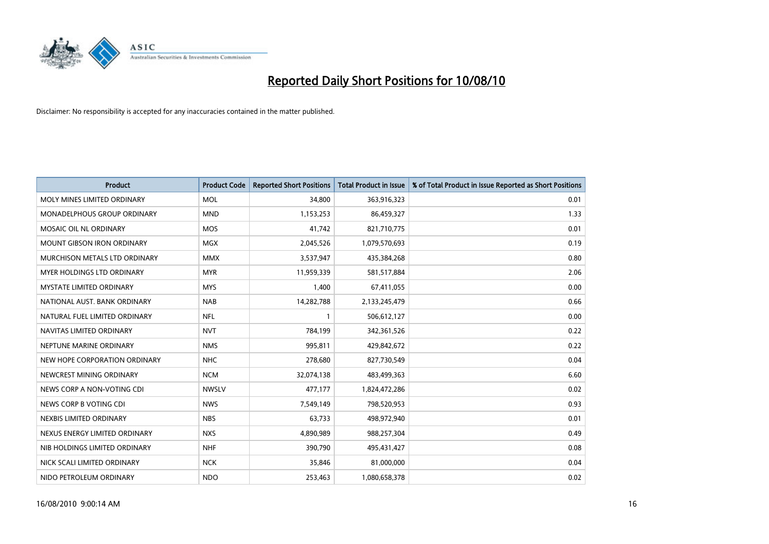

| <b>Product</b>                    | <b>Product Code</b> | <b>Reported Short Positions</b> | <b>Total Product in Issue</b> | % of Total Product in Issue Reported as Short Positions |
|-----------------------------------|---------------------|---------------------------------|-------------------------------|---------------------------------------------------------|
| MOLY MINES LIMITED ORDINARY       | <b>MOL</b>          | 34,800                          | 363,916,323                   | 0.01                                                    |
| MONADELPHOUS GROUP ORDINARY       | <b>MND</b>          | 1,153,253                       | 86,459,327                    | 1.33                                                    |
| MOSAIC OIL NL ORDINARY            | <b>MOS</b>          | 41,742                          | 821,710,775                   | 0.01                                                    |
| <b>MOUNT GIBSON IRON ORDINARY</b> | <b>MGX</b>          | 2,045,526                       | 1,079,570,693                 | 0.19                                                    |
| MURCHISON METALS LTD ORDINARY     | <b>MMX</b>          | 3,537,947                       | 435,384,268                   | 0.80                                                    |
| <b>MYER HOLDINGS LTD ORDINARY</b> | <b>MYR</b>          | 11,959,339                      | 581,517,884                   | 2.06                                                    |
| <b>MYSTATE LIMITED ORDINARY</b>   | <b>MYS</b>          | 1,400                           | 67,411,055                    | 0.00                                                    |
| NATIONAL AUST. BANK ORDINARY      | <b>NAB</b>          | 14,282,788                      | 2,133,245,479                 | 0.66                                                    |
| NATURAL FUEL LIMITED ORDINARY     | <b>NFL</b>          |                                 | 506,612,127                   | 0.00                                                    |
| NAVITAS LIMITED ORDINARY          | <b>NVT</b>          | 784,199                         | 342,361,526                   | 0.22                                                    |
| NEPTUNE MARINE ORDINARY           | <b>NMS</b>          | 995,811                         | 429,842,672                   | 0.22                                                    |
| NEW HOPE CORPORATION ORDINARY     | <b>NHC</b>          | 278,680                         | 827,730,549                   | 0.04                                                    |
| NEWCREST MINING ORDINARY          | <b>NCM</b>          | 32,074,138                      | 483,499,363                   | 6.60                                                    |
| NEWS CORP A NON-VOTING CDI        | <b>NWSLV</b>        | 477,177                         | 1,824,472,286                 | 0.02                                                    |
| NEWS CORP B VOTING CDI            | <b>NWS</b>          | 7,549,149                       | 798,520,953                   | 0.93                                                    |
| NEXBIS LIMITED ORDINARY           | <b>NBS</b>          | 63,733                          | 498,972,940                   | 0.01                                                    |
| NEXUS ENERGY LIMITED ORDINARY     | <b>NXS</b>          | 4,890,989                       | 988,257,304                   | 0.49                                                    |
| NIB HOLDINGS LIMITED ORDINARY     | <b>NHF</b>          | 390,790                         | 495,431,427                   | 0.08                                                    |
| NICK SCALI LIMITED ORDINARY       | <b>NCK</b>          | 35,846                          | 81,000,000                    | 0.04                                                    |
| NIDO PETROLEUM ORDINARY           | <b>NDO</b>          | 253,463                         | 1,080,658,378                 | 0.02                                                    |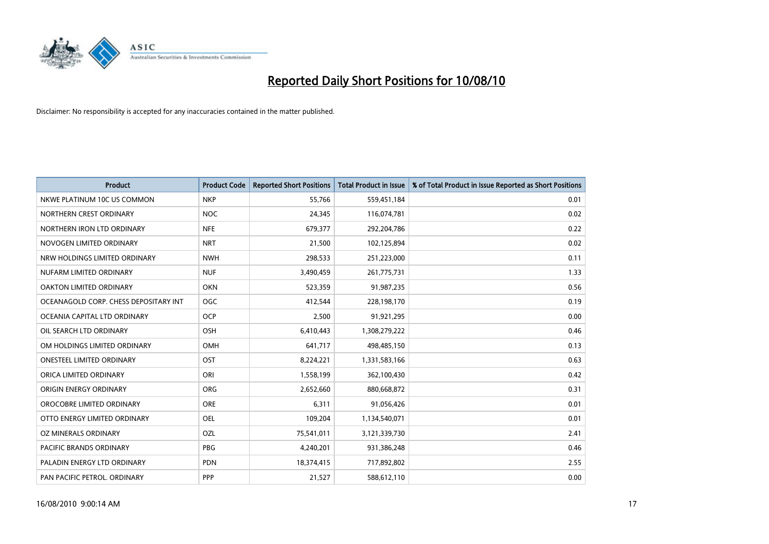

| <b>Product</b>                        | <b>Product Code</b> | <b>Reported Short Positions</b> | Total Product in Issue | % of Total Product in Issue Reported as Short Positions |
|---------------------------------------|---------------------|---------------------------------|------------------------|---------------------------------------------------------|
| NKWE PLATINUM 10C US COMMON           | <b>NKP</b>          | 55,766                          | 559,451,184            | 0.01                                                    |
| NORTHERN CREST ORDINARY               | <b>NOC</b>          | 24,345                          | 116,074,781            | 0.02                                                    |
| NORTHERN IRON LTD ORDINARY            | <b>NFE</b>          | 679,377                         | 292,204,786            | 0.22                                                    |
| NOVOGEN LIMITED ORDINARY              | <b>NRT</b>          | 21,500                          | 102,125,894            | 0.02                                                    |
| NRW HOLDINGS LIMITED ORDINARY         | <b>NWH</b>          | 298,533                         | 251,223,000            | 0.11                                                    |
| NUFARM LIMITED ORDINARY               | <b>NUF</b>          | 3,490,459                       | 261,775,731            | 1.33                                                    |
| OAKTON LIMITED ORDINARY               | <b>OKN</b>          | 523,359                         | 91,987,235             | 0.56                                                    |
| OCEANAGOLD CORP. CHESS DEPOSITARY INT | <b>OGC</b>          | 412,544                         | 228,198,170            | 0.19                                                    |
| OCEANIA CAPITAL LTD ORDINARY          | <b>OCP</b>          | 2,500                           | 91,921,295             | 0.00                                                    |
| OIL SEARCH LTD ORDINARY               | <b>OSH</b>          | 6,410,443                       | 1,308,279,222          | 0.46                                                    |
| OM HOLDINGS LIMITED ORDINARY          | <b>OMH</b>          | 641,717                         | 498,485,150            | 0.13                                                    |
| <b>ONESTEEL LIMITED ORDINARY</b>      | OST                 | 8,224,221                       | 1,331,583,166          | 0.63                                                    |
| ORICA LIMITED ORDINARY                | ORI                 | 1,558,199                       | 362,100,430            | 0.42                                                    |
| ORIGIN ENERGY ORDINARY                | ORG                 | 2,652,660                       | 880,668,872            | 0.31                                                    |
| OROCOBRE LIMITED ORDINARY             | ORE                 | 6,311                           | 91,056,426             | 0.01                                                    |
| OTTO ENERGY LIMITED ORDINARY          | <b>OEL</b>          | 109,204                         | 1,134,540,071          | 0.01                                                    |
| OZ MINERALS ORDINARY                  | OZL                 | 75,541,011                      | 3,121,339,730          | 2.41                                                    |
| PACIFIC BRANDS ORDINARY               | <b>PBG</b>          | 4,240,201                       | 931,386,248            | 0.46                                                    |
| PALADIN ENERGY LTD ORDINARY           | <b>PDN</b>          | 18,374,415                      | 717,892,802            | 2.55                                                    |
| PAN PACIFIC PETROL. ORDINARY          | PPP                 | 21,527                          | 588,612,110            | 0.00                                                    |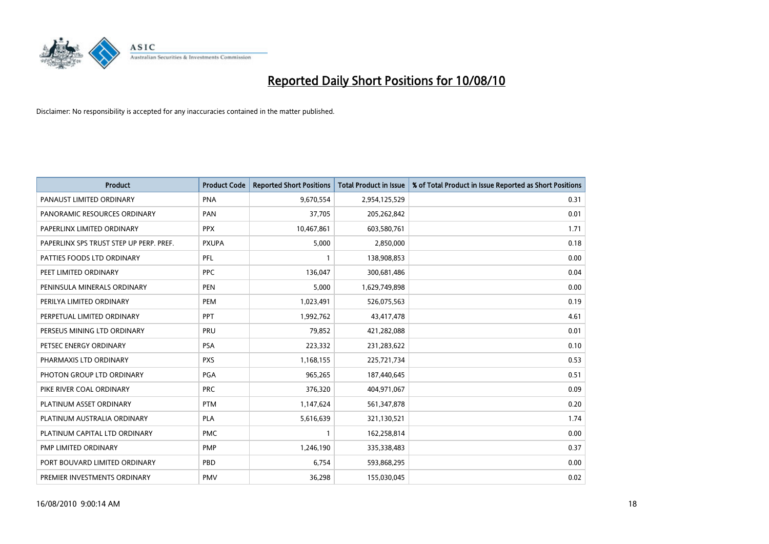

| <b>Product</b>                          | <b>Product Code</b> | <b>Reported Short Positions</b> | <b>Total Product in Issue</b> | % of Total Product in Issue Reported as Short Positions |
|-----------------------------------------|---------------------|---------------------------------|-------------------------------|---------------------------------------------------------|
| PANAUST LIMITED ORDINARY                | <b>PNA</b>          | 9,670,554                       | 2,954,125,529                 | 0.31                                                    |
| PANORAMIC RESOURCES ORDINARY            | PAN                 | 37,705                          | 205,262,842                   | 0.01                                                    |
| PAPERLINX LIMITED ORDINARY              | <b>PPX</b>          | 10,467,861                      | 603,580,761                   | 1.71                                                    |
| PAPERLINX SPS TRUST STEP UP PERP. PREF. | <b>PXUPA</b>        | 5,000                           | 2,850,000                     | 0.18                                                    |
| PATTIES FOODS LTD ORDINARY              | PFL                 |                                 | 138,908,853                   | 0.00                                                    |
| PEET LIMITED ORDINARY                   | <b>PPC</b>          | 136,047                         | 300,681,486                   | 0.04                                                    |
| PENINSULA MINERALS ORDINARY             | <b>PEN</b>          | 5,000                           | 1,629,749,898                 | 0.00                                                    |
| PERILYA LIMITED ORDINARY                | PEM                 | 1,023,491                       | 526,075,563                   | 0.19                                                    |
| PERPETUAL LIMITED ORDINARY              | PPT                 | 1,992,762                       | 43,417,478                    | 4.61                                                    |
| PERSEUS MINING LTD ORDINARY             | PRU                 | 79,852                          | 421,282,088                   | 0.01                                                    |
| PETSEC ENERGY ORDINARY                  | <b>PSA</b>          | 223,332                         | 231,283,622                   | 0.10                                                    |
| PHARMAXIS LTD ORDINARY                  | <b>PXS</b>          | 1,168,155                       | 225,721,734                   | 0.53                                                    |
| PHOTON GROUP LTD ORDINARY               | <b>PGA</b>          | 965,265                         | 187,440,645                   | 0.51                                                    |
| PIKE RIVER COAL ORDINARY                | <b>PRC</b>          | 376,320                         | 404,971,067                   | 0.09                                                    |
| PLATINUM ASSET ORDINARY                 | <b>PTM</b>          | 1,147,624                       | 561,347,878                   | 0.20                                                    |
| PLATINUM AUSTRALIA ORDINARY             | PLA                 | 5,616,639                       | 321,130,521                   | 1.74                                                    |
| PLATINUM CAPITAL LTD ORDINARY           | <b>PMC</b>          |                                 | 162,258,814                   | 0.00                                                    |
| PMP LIMITED ORDINARY                    | <b>PMP</b>          | 1,246,190                       | 335,338,483                   | 0.37                                                    |
| PORT BOUVARD LIMITED ORDINARY           | PBD                 | 6,754                           | 593,868,295                   | 0.00                                                    |
| PREMIER INVESTMENTS ORDINARY            | <b>PMV</b>          | 36,298                          | 155,030,045                   | 0.02                                                    |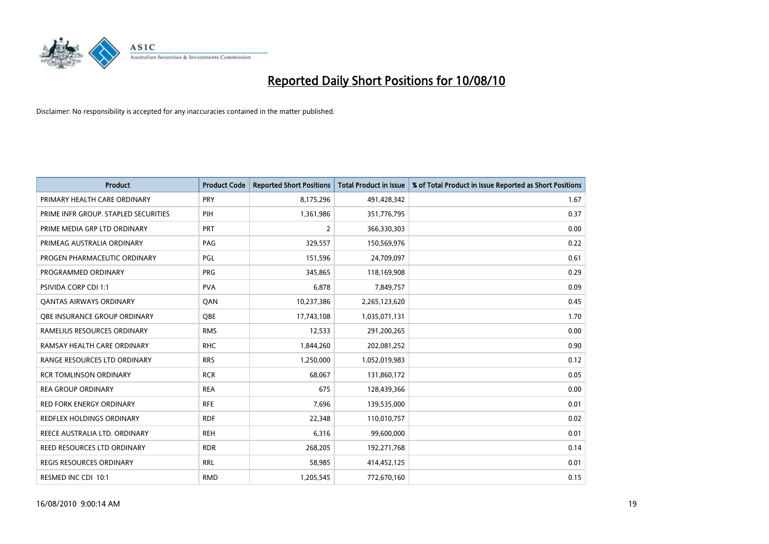

| <b>Product</b>                       | <b>Product Code</b> | <b>Reported Short Positions</b> | <b>Total Product in Issue</b> | % of Total Product in Issue Reported as Short Positions |
|--------------------------------------|---------------------|---------------------------------|-------------------------------|---------------------------------------------------------|
| PRIMARY HEALTH CARE ORDINARY         | <b>PRY</b>          | 8,175,296                       | 491,428,342                   | 1.67                                                    |
| PRIME INFR GROUP. STAPLED SECURITIES | PIH                 | 1,361,986                       | 351,776,795                   | 0.37                                                    |
| PRIME MEDIA GRP LTD ORDINARY         | <b>PRT</b>          | $\overline{2}$                  | 366,330,303                   | 0.00                                                    |
| PRIMEAG AUSTRALIA ORDINARY           | PAG                 | 329,557                         | 150,569,976                   | 0.22                                                    |
| PROGEN PHARMACEUTIC ORDINARY         | <b>PGL</b>          | 151,596                         | 24,709,097                    | 0.61                                                    |
| PROGRAMMED ORDINARY                  | <b>PRG</b>          | 345,865                         | 118,169,908                   | 0.29                                                    |
| <b>PSIVIDA CORP CDI 1:1</b>          | <b>PVA</b>          | 6,878                           | 7,849,757                     | 0.09                                                    |
| <b>QANTAS AIRWAYS ORDINARY</b>       | QAN                 | 10,237,386                      | 2,265,123,620                 | 0.45                                                    |
| QBE INSURANCE GROUP ORDINARY         | OBE                 | 17,743,108                      | 1,035,071,131                 | 1.70                                                    |
| RAMELIUS RESOURCES ORDINARY          | <b>RMS</b>          | 12,533                          | 291,200,265                   | 0.00                                                    |
| RAMSAY HEALTH CARE ORDINARY          | <b>RHC</b>          | 1,844,260                       | 202,081,252                   | 0.90                                                    |
| RANGE RESOURCES LTD ORDINARY         | <b>RRS</b>          | 1,250,000                       | 1,052,019,983                 | 0.12                                                    |
| <b>RCR TOMLINSON ORDINARY</b>        | <b>RCR</b>          | 68,067                          | 131,860,172                   | 0.05                                                    |
| <b>REA GROUP ORDINARY</b>            | <b>REA</b>          | 675                             | 128,439,366                   | 0.00                                                    |
| <b>RED FORK ENERGY ORDINARY</b>      | <b>RFE</b>          | 7,696                           | 139,535,000                   | 0.01                                                    |
| <b>REDFLEX HOLDINGS ORDINARY</b>     | <b>RDF</b>          | 22,348                          | 110,010,757                   | 0.02                                                    |
| REECE AUSTRALIA LTD. ORDINARY        | <b>REH</b>          | 6,316                           | 99,600,000                    | 0.01                                                    |
| REED RESOURCES LTD ORDINARY          | <b>RDR</b>          | 268,205                         | 192,271,768                   | 0.14                                                    |
| REGIS RESOURCES ORDINARY             | <b>RRL</b>          | 58,985                          | 414,452,125                   | 0.01                                                    |
| RESMED INC CDI 10:1                  | <b>RMD</b>          | 1,205,545                       | 772,670,160                   | 0.15                                                    |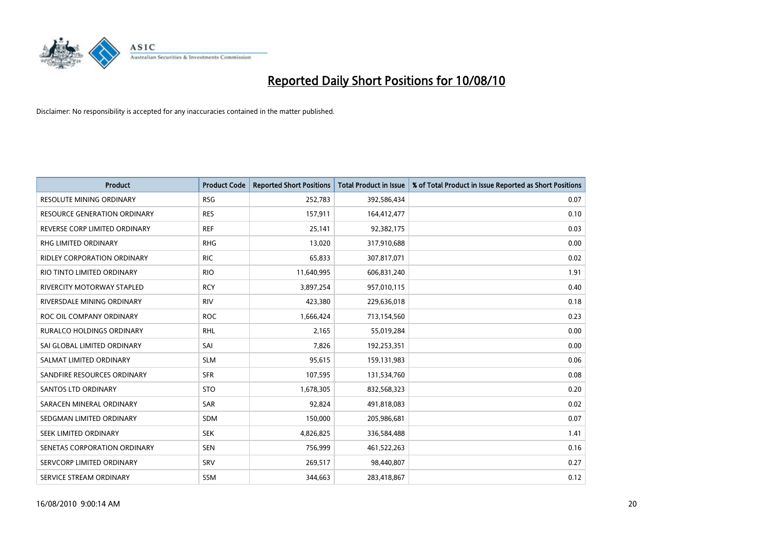

| <b>Product</b>                      | <b>Product Code</b> | <b>Reported Short Positions</b> | <b>Total Product in Issue</b> | % of Total Product in Issue Reported as Short Positions |
|-------------------------------------|---------------------|---------------------------------|-------------------------------|---------------------------------------------------------|
| <b>RESOLUTE MINING ORDINARY</b>     | <b>RSG</b>          | 252,783                         | 392,586,434                   | 0.07                                                    |
| <b>RESOURCE GENERATION ORDINARY</b> | <b>RES</b>          | 157,911                         | 164,412,477                   | 0.10                                                    |
| REVERSE CORP LIMITED ORDINARY       | <b>REF</b>          | 25,141                          | 92,382,175                    | 0.03                                                    |
| RHG LIMITED ORDINARY                | <b>RHG</b>          | 13,020                          | 317,910,688                   | 0.00                                                    |
| <b>RIDLEY CORPORATION ORDINARY</b>  | <b>RIC</b>          | 65,833                          | 307,817,071                   | 0.02                                                    |
| RIO TINTO LIMITED ORDINARY          | <b>RIO</b>          | 11,640,995                      | 606,831,240                   | 1.91                                                    |
| <b>RIVERCITY MOTORWAY STAPLED</b>   | <b>RCY</b>          | 3,897,254                       | 957,010,115                   | 0.40                                                    |
| RIVERSDALE MINING ORDINARY          | <b>RIV</b>          | 423,380                         | 229,636,018                   | 0.18                                                    |
| ROC OIL COMPANY ORDINARY            | <b>ROC</b>          | 1,666,424                       | 713,154,560                   | 0.23                                                    |
| RURALCO HOLDINGS ORDINARY           | <b>RHL</b>          | 2,165                           | 55,019,284                    | 0.00                                                    |
| SAI GLOBAL LIMITED ORDINARY         | SAI                 | 7,826                           | 192,253,351                   | 0.00                                                    |
| SALMAT LIMITED ORDINARY             | <b>SLM</b>          | 95,615                          | 159,131,983                   | 0.06                                                    |
| SANDFIRE RESOURCES ORDINARY         | <b>SFR</b>          | 107,595                         | 131,534,760                   | 0.08                                                    |
| <b>SANTOS LTD ORDINARY</b>          | <b>STO</b>          | 1,678,305                       | 832,568,323                   | 0.20                                                    |
| SARACEN MINERAL ORDINARY            | <b>SAR</b>          | 92.824                          | 491,818,083                   | 0.02                                                    |
| SEDGMAN LIMITED ORDINARY            | <b>SDM</b>          | 150,000                         | 205,986,681                   | 0.07                                                    |
| SEEK LIMITED ORDINARY               | <b>SEK</b>          | 4,826,825                       | 336,584,488                   | 1.41                                                    |
| SENETAS CORPORATION ORDINARY        | <b>SEN</b>          | 756,999                         | 461,522,263                   | 0.16                                                    |
| SERVCORP LIMITED ORDINARY           | SRV                 | 269,517                         | 98,440,807                    | 0.27                                                    |
| SERVICE STREAM ORDINARY             | <b>SSM</b>          | 344.663                         | 283,418,867                   | 0.12                                                    |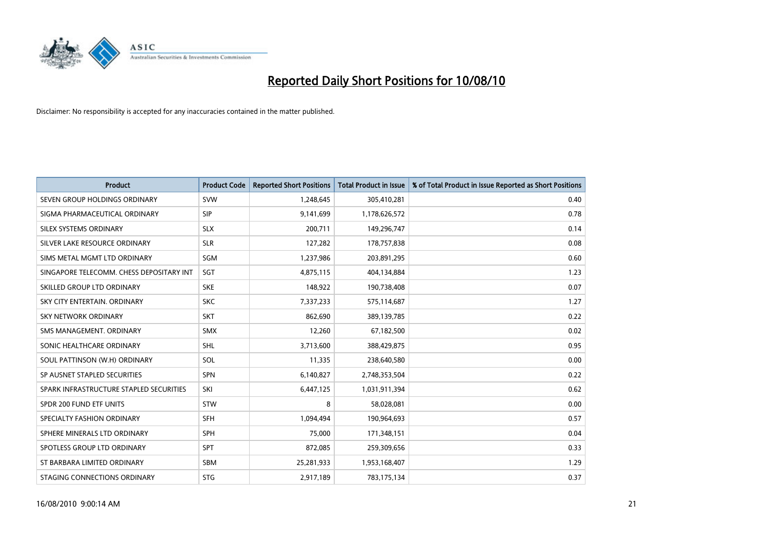

| <b>Product</b>                           | <b>Product Code</b> | <b>Reported Short Positions</b> | Total Product in Issue | % of Total Product in Issue Reported as Short Positions |
|------------------------------------------|---------------------|---------------------------------|------------------------|---------------------------------------------------------|
| SEVEN GROUP HOLDINGS ORDINARY            | SVW                 | 1,248,645                       | 305,410,281            | 0.40                                                    |
| SIGMA PHARMACEUTICAL ORDINARY            | <b>SIP</b>          | 9,141,699                       | 1,178,626,572          | 0.78                                                    |
| SILEX SYSTEMS ORDINARY                   | <b>SLX</b>          | 200,711                         | 149,296,747            | 0.14                                                    |
| SILVER LAKE RESOURCE ORDINARY            | <b>SLR</b>          | 127,282                         | 178,757,838            | 0.08                                                    |
| SIMS METAL MGMT LTD ORDINARY             | SGM                 | 1,237,986                       | 203,891,295            | 0.60                                                    |
| SINGAPORE TELECOMM. CHESS DEPOSITARY INT | SGT                 | 4,875,115                       | 404,134,884            | 1.23                                                    |
| SKILLED GROUP LTD ORDINARY               | <b>SKE</b>          | 148,922                         | 190,738,408            | 0.07                                                    |
| SKY CITY ENTERTAIN, ORDINARY             | <b>SKC</b>          | 7,337,233                       | 575,114,687            | 1.27                                                    |
| SKY NETWORK ORDINARY                     | <b>SKT</b>          | 862,690                         | 389,139,785            | 0.22                                                    |
| SMS MANAGEMENT, ORDINARY                 | <b>SMX</b>          | 12,260                          | 67,182,500             | 0.02                                                    |
| SONIC HEALTHCARE ORDINARY                | <b>SHL</b>          | 3,713,600                       | 388,429,875            | 0.95                                                    |
| SOUL PATTINSON (W.H) ORDINARY            | SOL                 | 11,335                          | 238,640,580            | 0.00                                                    |
| SP AUSNET STAPLED SECURITIES             | SPN                 | 6,140,827                       | 2,748,353,504          | 0.22                                                    |
| SPARK INFRASTRUCTURE STAPLED SECURITIES  | SKI                 | 6,447,125                       | 1,031,911,394          | 0.62                                                    |
| SPDR 200 FUND ETF UNITS                  | STW                 | 8                               | 58,028,081             | 0.00                                                    |
| SPECIALTY FASHION ORDINARY               | <b>SFH</b>          | 1,094,494                       | 190,964,693            | 0.57                                                    |
| SPHERE MINERALS LTD ORDINARY             | <b>SPH</b>          | 75,000                          | 171,348,151            | 0.04                                                    |
| SPOTLESS GROUP LTD ORDINARY              | <b>SPT</b>          | 872,085                         | 259,309,656            | 0.33                                                    |
| ST BARBARA LIMITED ORDINARY              | SBM                 | 25,281,933                      | 1,953,168,407          | 1.29                                                    |
| STAGING CONNECTIONS ORDINARY             | <b>STG</b>          | 2,917,189                       | 783,175,134            | 0.37                                                    |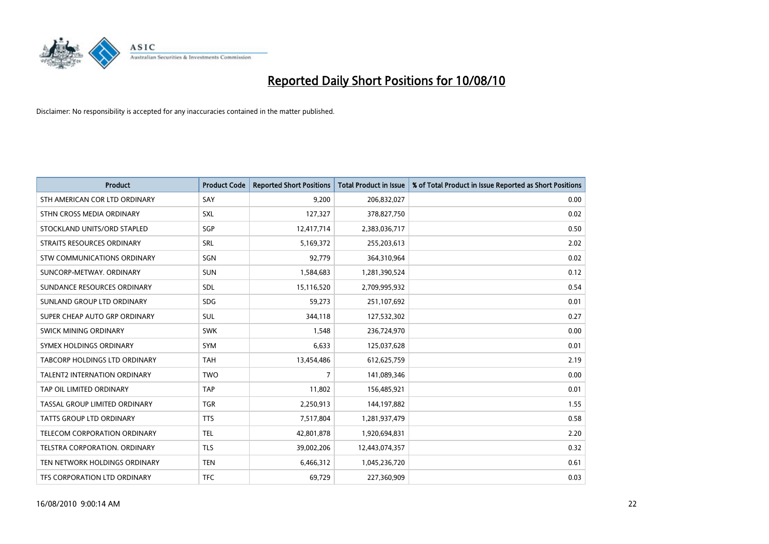

| <b>Product</b>                | <b>Product Code</b> | <b>Reported Short Positions</b> | Total Product in Issue | % of Total Product in Issue Reported as Short Positions |
|-------------------------------|---------------------|---------------------------------|------------------------|---------------------------------------------------------|
| STH AMERICAN COR LTD ORDINARY | SAY                 | 9.200                           | 206,832,027            | 0.00                                                    |
| STHN CROSS MEDIA ORDINARY     | <b>SXL</b>          | 127,327                         | 378,827,750            | 0.02                                                    |
| STOCKLAND UNITS/ORD STAPLED   | SGP                 | 12,417,714                      | 2,383,036,717          | 0.50                                                    |
| STRAITS RESOURCES ORDINARY    | <b>SRL</b>          | 5,169,372                       | 255,203,613            | 2.02                                                    |
| STW COMMUNICATIONS ORDINARY   | SGN                 | 92,779                          | 364,310,964            | 0.02                                                    |
| SUNCORP-METWAY, ORDINARY      | <b>SUN</b>          | 1,584,683                       | 1,281,390,524          | 0.12                                                    |
| SUNDANCE RESOURCES ORDINARY   | <b>SDL</b>          | 15,116,520                      | 2,709,995,932          | 0.54                                                    |
| SUNLAND GROUP LTD ORDINARY    | <b>SDG</b>          | 59,273                          | 251,107,692            | 0.01                                                    |
| SUPER CHEAP AUTO GRP ORDINARY | <b>SUL</b>          | 344,118                         | 127,532,302            | 0.27                                                    |
| SWICK MINING ORDINARY         | <b>SWK</b>          | 1,548                           | 236,724,970            | 0.00                                                    |
| SYMEX HOLDINGS ORDINARY       | <b>SYM</b>          | 6,633                           | 125,037,628            | 0.01                                                    |
| TABCORP HOLDINGS LTD ORDINARY | <b>TAH</b>          | 13,454,486                      | 612,625,759            | 2.19                                                    |
| TALENT2 INTERNATION ORDINARY  | <b>TWO</b>          | $\overline{7}$                  | 141,089,346            | 0.00                                                    |
| TAP OIL LIMITED ORDINARY      | <b>TAP</b>          | 11,802                          | 156,485,921            | 0.01                                                    |
| TASSAL GROUP LIMITED ORDINARY | <b>TGR</b>          | 2,250,913                       | 144,197,882            | 1.55                                                    |
| TATTS GROUP LTD ORDINARY      | <b>TTS</b>          | 7,517,804                       | 1,281,937,479          | 0.58                                                    |
| TELECOM CORPORATION ORDINARY  | <b>TEL</b>          | 42,801,878                      | 1,920,694,831          | 2.20                                                    |
| TELSTRA CORPORATION. ORDINARY | <b>TLS</b>          | 39,002,206                      | 12,443,074,357         | 0.32                                                    |
| TEN NETWORK HOLDINGS ORDINARY | <b>TEN</b>          | 6,466,312                       | 1,045,236,720          | 0.61                                                    |
| TFS CORPORATION LTD ORDINARY  | <b>TFC</b>          | 69,729                          | 227,360,909            | 0.03                                                    |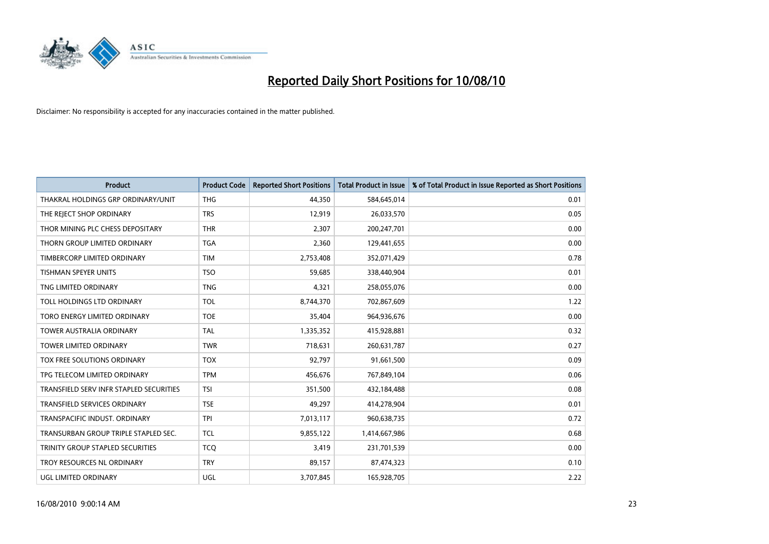

| <b>Product</b>                          | <b>Product Code</b> | <b>Reported Short Positions</b> | Total Product in Issue | % of Total Product in Issue Reported as Short Positions |
|-----------------------------------------|---------------------|---------------------------------|------------------------|---------------------------------------------------------|
| THAKRAL HOLDINGS GRP ORDINARY/UNIT      | <b>THG</b>          | 44,350                          | 584,645,014            | 0.01                                                    |
| THE REJECT SHOP ORDINARY                | <b>TRS</b>          | 12,919                          | 26,033,570             | 0.05                                                    |
| THOR MINING PLC CHESS DEPOSITARY        | <b>THR</b>          | 2,307                           | 200,247,701            | 0.00                                                    |
| THORN GROUP LIMITED ORDINARY            | <b>TGA</b>          | 2,360                           | 129,441,655            | 0.00                                                    |
| TIMBERCORP LIMITED ORDINARY             | <b>TIM</b>          | 2,753,408                       | 352,071,429            | 0.78                                                    |
| <b>TISHMAN SPEYER UNITS</b>             | <b>TSO</b>          | 59,685                          | 338,440,904            | 0.01                                                    |
| TNG LIMITED ORDINARY                    | <b>TNG</b>          | 4,321                           | 258,055,076            | 0.00                                                    |
| TOLL HOLDINGS LTD ORDINARY              | <b>TOL</b>          | 8,744,370                       | 702,867,609            | 1.22                                                    |
| TORO ENERGY LIMITED ORDINARY            | <b>TOE</b>          | 35,404                          | 964,936,676            | 0.00                                                    |
| <b>TOWER AUSTRALIA ORDINARY</b>         | <b>TAL</b>          | 1,335,352                       | 415,928,881            | 0.32                                                    |
| TOWER LIMITED ORDINARY                  | <b>TWR</b>          | 718,631                         | 260,631,787            | 0.27                                                    |
| <b>TOX FREE SOLUTIONS ORDINARY</b>      | <b>TOX</b>          | 92,797                          | 91,661,500             | 0.09                                                    |
| TPG TELECOM LIMITED ORDINARY            | <b>TPM</b>          | 456,676                         | 767,849,104            | 0.06                                                    |
| TRANSFIELD SERV INFR STAPLED SECURITIES | <b>TSI</b>          | 351,500                         | 432,184,488            | 0.08                                                    |
| <b>TRANSFIELD SERVICES ORDINARY</b>     | <b>TSE</b>          | 49,297                          | 414,278,904            | 0.01                                                    |
| TRANSPACIFIC INDUST. ORDINARY           | <b>TPI</b>          | 7,013,117                       | 960,638,735            | 0.72                                                    |
| TRANSURBAN GROUP TRIPLE STAPLED SEC.    | <b>TCL</b>          | 9,855,122                       | 1,414,667,986          | 0.68                                                    |
| TRINITY GROUP STAPLED SECURITIES        | <b>TCQ</b>          | 3,419                           | 231,701,539            | 0.00                                                    |
| TROY RESOURCES NL ORDINARY              | <b>TRY</b>          | 89,157                          | 87,474,323             | 0.10                                                    |
| UGL LIMITED ORDINARY                    | UGL                 | 3,707,845                       | 165,928,705            | 2.22                                                    |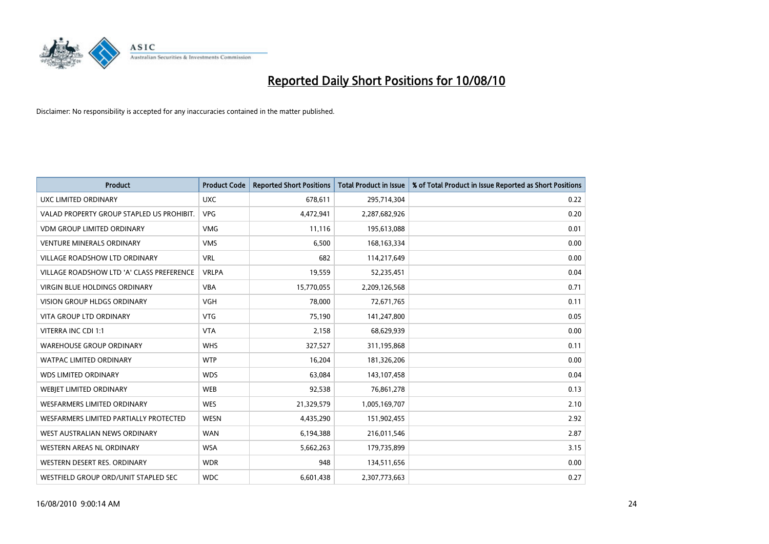

| <b>Product</b>                            | <b>Product Code</b> | <b>Reported Short Positions</b> | <b>Total Product in Issue</b> | % of Total Product in Issue Reported as Short Positions |
|-------------------------------------------|---------------------|---------------------------------|-------------------------------|---------------------------------------------------------|
| <b>UXC LIMITED ORDINARY</b>               | <b>UXC</b>          | 678,611                         | 295,714,304                   | 0.22                                                    |
| VALAD PROPERTY GROUP STAPLED US PROHIBIT. | <b>VPG</b>          | 4,472,941                       | 2,287,682,926                 | 0.20                                                    |
| <b>VDM GROUP LIMITED ORDINARY</b>         | <b>VMG</b>          | 11,116                          | 195,613,088                   | 0.01                                                    |
| <b>VENTURE MINERALS ORDINARY</b>          | <b>VMS</b>          | 6,500                           | 168, 163, 334                 | 0.00                                                    |
| <b>VILLAGE ROADSHOW LTD ORDINARY</b>      | <b>VRL</b>          | 682                             | 114,217,649                   | 0.00                                                    |
| VILLAGE ROADSHOW LTD 'A' CLASS PREFERENCE | <b>VRLPA</b>        | 19,559                          | 52,235,451                    | 0.04                                                    |
| <b>VIRGIN BLUE HOLDINGS ORDINARY</b>      | <b>VBA</b>          | 15,770,055                      | 2,209,126,568                 | 0.71                                                    |
| <b>VISION GROUP HLDGS ORDINARY</b>        | <b>VGH</b>          | 78,000                          | 72,671,765                    | 0.11                                                    |
| VITA GROUP LTD ORDINARY                   | <b>VTG</b>          | 75,190                          | 141,247,800                   | 0.05                                                    |
| VITERRA INC CDI 1:1                       | <b>VTA</b>          | 2,158                           | 68,629,939                    | 0.00                                                    |
| <b>WAREHOUSE GROUP ORDINARY</b>           | <b>WHS</b>          | 327,527                         | 311,195,868                   | 0.11                                                    |
| <b>WATPAC LIMITED ORDINARY</b>            | <b>WTP</b>          | 16,204                          | 181,326,206                   | 0.00                                                    |
| <b>WDS LIMITED ORDINARY</b>               | <b>WDS</b>          | 63.084                          | 143,107,458                   | 0.04                                                    |
| WEBJET LIMITED ORDINARY                   | <b>WEB</b>          | 92,538                          | 76,861,278                    | 0.13                                                    |
| <b>WESFARMERS LIMITED ORDINARY</b>        | <b>WES</b>          | 21,329,579                      | 1,005,169,707                 | 2.10                                                    |
| WESFARMERS LIMITED PARTIALLY PROTECTED    | <b>WESN</b>         | 4,435,290                       | 151,902,455                   | 2.92                                                    |
| WEST AUSTRALIAN NEWS ORDINARY             | <b>WAN</b>          | 6,194,388                       | 216,011,546                   | 2.87                                                    |
| WESTERN AREAS NL ORDINARY                 | <b>WSA</b>          | 5,662,263                       | 179,735,899                   | 3.15                                                    |
| WESTERN DESERT RES. ORDINARY              | <b>WDR</b>          | 948                             | 134,511,656                   | 0.00                                                    |
| WESTFIELD GROUP ORD/UNIT STAPLED SEC      | <b>WDC</b>          | 6,601,438                       | 2,307,773,663                 | 0.27                                                    |